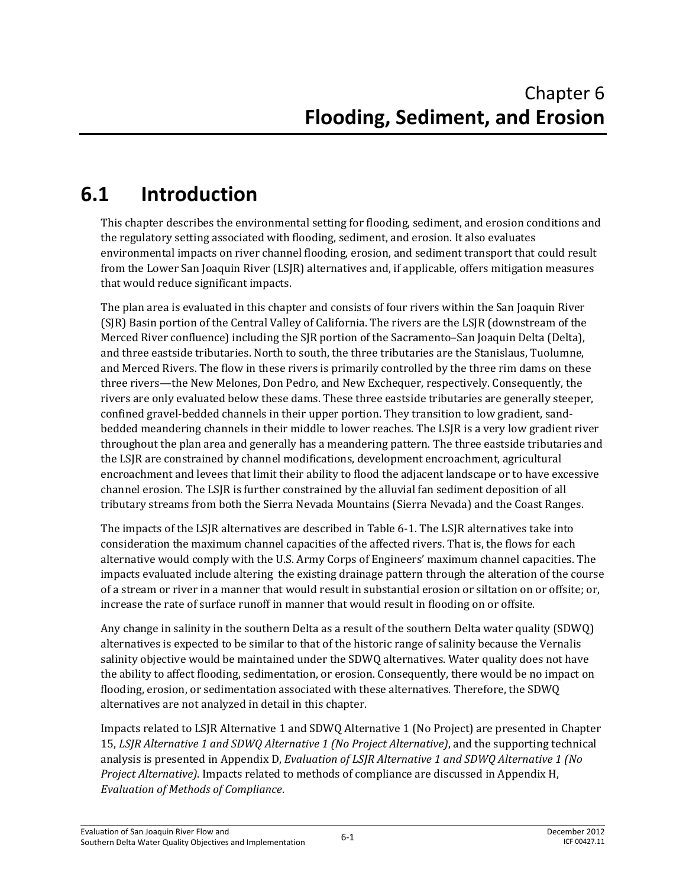# **6.1 Introduction**

This chapter describes the environmental setting for flooding, sediment, and erosion conditions and the regulatory setting associated with flooding, sediment, and erosion. It also evaluates environmental impacts on river channel flooding, erosion, and sediment transport that could result from the Lower San Joaquin River (LSJR) alternatives and, if applicable, offers mitigation measures that would reduce significant impacts.

The plan area is evaluated in this chapter and consists of four rivers within the San Joaquin River (SJR) Basin portion of the Central Valley of California. The rivers are the LSJR (downstream of the Merced River confluence) including the SJR portion of the Sacramento–San Joaquin Delta (Delta), and three eastside tributaries. North to south, the three tributaries are the Stanislaus, Tuolumne, and Merced Rivers. The flow in these rivers is primarily controlled by the three rim dams on these three rivers—the New Melones, Don Pedro, and New Exchequer, respectively. Consequently, the rivers are only evaluated below these dams. These three eastside tributaries are generally steeper, confined gravel-bedded channels in their upper portion. They transition to low gradient, sandbedded meandering channels in their middle to lower reaches. The LSJR is a very low gradient river throughout the plan area and generally has a meandering pattern. The three eastside tributaries and the LSJR are constrained by channel modifications, development encroachment, agricultural encroachment and levees that limit their ability to flood the adjacent landscape or to have excessive channel erosion. The LSJR is further constrained by the alluvial fan sediment deposition of all tributary streams from both the Sierra Nevada Mountains (Sierra Nevada) and the Coast Ranges.

The impacts of the LSJR alternatives are described in Table 6-1. The LSJR alternatives take into consideration the maximum channel capacities of the affected rivers. That is, the flows for each alternative would comply with the U.S. Army Corps of Engineers' maximum channel capacities. The impacts evaluated include altering the existing drainage pattern through the alteration of the course of a stream or river in a manner that would result in substantial erosion or siltation on or offsite; or, increase the rate of surface runoff in manner that would result in flooding on or offsite.

Any change in salinity in the southern Delta as a result of the southern Delta water quality (SDWQ) alternatives is expected to be similar to that of the historic range of salinity because the Vernalis salinity objective would be maintained under the SDWQ alternatives. Water quality does not have the ability to affect flooding, sedimentation, or erosion. Consequently, there would be no impact on flooding, erosion, or sedimentation associated with these alternatives. Therefore, the SDWQ alternatives are not analyzed in detail in this chapter.

Impacts related to LSJR Alternative 1 and SDWQ Alternative 1 (No Project) are presented in Chapter 15, *LSJR Alternative 1 and SDWQ Alternative 1 (No Project Alternative)*, and the supporting technical analysis is presented in Appendix D, *Evaluation of LSJR Alternative 1 and SDWQ Alternative 1 (No Project Alternative)*. Impacts related to methods of compliance are discussed in Appendix H, *Evaluation of Methods of Compliance*.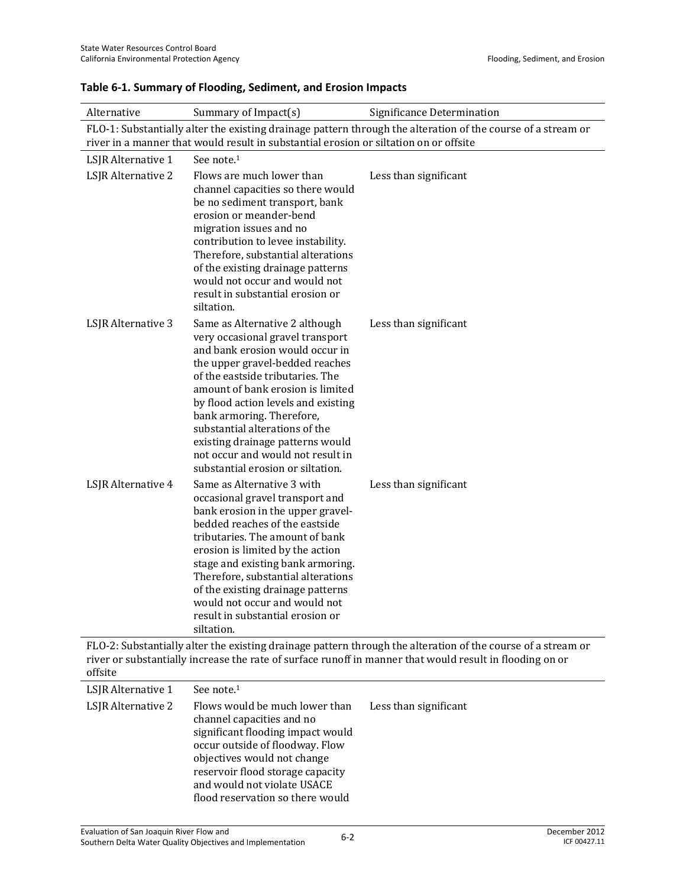| Alternative        | Summary of Impact(s)                                                                                                                                                                                                                                                                                                                                                                                                                  | Significance Determination                                                                                   |
|--------------------|---------------------------------------------------------------------------------------------------------------------------------------------------------------------------------------------------------------------------------------------------------------------------------------------------------------------------------------------------------------------------------------------------------------------------------------|--------------------------------------------------------------------------------------------------------------|
|                    | river in a manner that would result in substantial erosion or siltation on or offsite                                                                                                                                                                                                                                                                                                                                                 | FLO-1: Substantially alter the existing drainage pattern through the alteration of the course of a stream or |
| LSJR Alternative 1 | See note. <sup>1</sup>                                                                                                                                                                                                                                                                                                                                                                                                                |                                                                                                              |
| LSJR Alternative 2 | Flows are much lower than<br>channel capacities so there would<br>be no sediment transport, bank<br>erosion or meander-bend<br>migration issues and no<br>contribution to levee instability.<br>Therefore, substantial alterations<br>of the existing drainage patterns<br>would not occur and would not<br>result in substantial erosion or<br>siltation.                                                                            | Less than significant                                                                                        |
| LSJR Alternative 3 | Same as Alternative 2 although<br>very occasional gravel transport<br>and bank erosion would occur in<br>the upper gravel-bedded reaches<br>of the eastside tributaries. The<br>amount of bank erosion is limited<br>by flood action levels and existing<br>bank armoring. Therefore,<br>substantial alterations of the<br>existing drainage patterns would<br>not occur and would not result in<br>substantial erosion or siltation. | Less than significant                                                                                        |
| LSJR Alternative 4 | Same as Alternative 3 with<br>occasional gravel transport and<br>bank erosion in the upper gravel-<br>bedded reaches of the eastside<br>tributaries. The amount of bank<br>erosion is limited by the action<br>stage and existing bank armoring.<br>Therefore, substantial alterations<br>of the existing drainage patterns<br>would not occur and would not<br>result in substantial erosion or<br>siltation.                        | Less than significant                                                                                        |

#### **Table 6-1. Summary of Flooding, Sediment, and Erosion Impacts**

FLO-2: Substantially alter the existing drainage pattern through the alteration of the course of a stream or river or substantially increase the rate of surface runoff in manner that would result in flooding on or offsite

| LSJR Alternative 1 | See note. <sup>1</sup>                                                                                                                                                                                                                                                    |                       |
|--------------------|---------------------------------------------------------------------------------------------------------------------------------------------------------------------------------------------------------------------------------------------------------------------------|-----------------------|
| LSJR Alternative 2 | Flows would be much lower than<br>channel capacities and no<br>significant flooding impact would<br>occur outside of floodway. Flow<br>objectives would not change<br>reservoir flood storage capacity<br>and would not violate USACE<br>flood reservation so there would | Less than significant |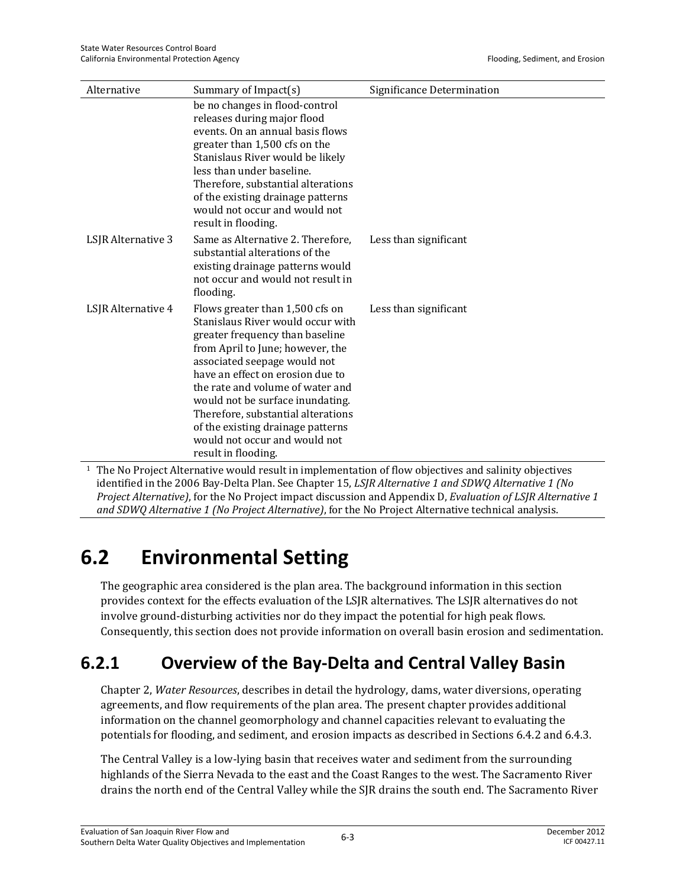| Alternative        | Summary of Impact(s)                                                                                                                                                                                                                                                                                                                                                                                                       | Significance Determination |
|--------------------|----------------------------------------------------------------------------------------------------------------------------------------------------------------------------------------------------------------------------------------------------------------------------------------------------------------------------------------------------------------------------------------------------------------------------|----------------------------|
|                    | be no changes in flood-control<br>releases during major flood<br>events. On an annual basis flows<br>greater than 1,500 cfs on the<br>Stanislaus River would be likely<br>less than under baseline.<br>Therefore, substantial alterations<br>of the existing drainage patterns<br>would not occur and would not<br>result in flooding.                                                                                     |                            |
| LSJR Alternative 3 | Same as Alternative 2. Therefore,<br>substantial alterations of the<br>existing drainage patterns would<br>not occur and would not result in<br>flooding.                                                                                                                                                                                                                                                                  | Less than significant      |
| LSJR Alternative 4 | Flows greater than 1,500 cfs on<br>Stanislaus River would occur with<br>greater frequency than baseline<br>from April to June; however, the<br>associated seepage would not<br>have an effect on erosion due to<br>the rate and volume of water and<br>would not be surface inundating.<br>Therefore, substantial alterations<br>of the existing drainage patterns<br>would not occur and would not<br>result in flooding. | Less than significant      |

1 The No Project Alternative would result in implementation of flow objectives and salinity objectives identified in the 2006 Bay-Delta Plan. See Chapter 15, *LSJR Alternative 1 and SDWQ Alternative 1 (No Project Alternative)*, for the No Project impact discussion and Appendix D, *Evaluation of LSJR Alternative 1 and SDWQ Alternative 1 (No Project Alternative)*, for the No Project Alternative technical analysis.

# **6.2 Environmental Setting**

The geographic area considered is the plan area. The background information in this section provides context for the effects evaluation of the LSJR alternatives. The LSJR alternatives do not involve ground-disturbing activities nor do they impact the potential for high peak flows. Consequently, this section does not provide information on overall basin erosion and sedimentation.

## **6.2.1 Overview of the Bay-Delta and Central Valley Basin**

Chapter 2, *Water Resources*, describes in detail the hydrology, dams, water diversions, operating agreements, and flow requirements of the plan area. The present chapter provides additional information on the channel geomorphology and channel capacities relevant to evaluating the potentials for flooding, and sediment, and erosion impacts as described in Sections 6.4.2 and 6.4.3.

The Central Valley is a low-lying basin that receives water and sediment from the surrounding highlands of the Sierra Nevada to the east and the Coast Ranges to the west. The Sacramento River drains the north end of the Central Valley while the SJR drains the south end. The Sacramento River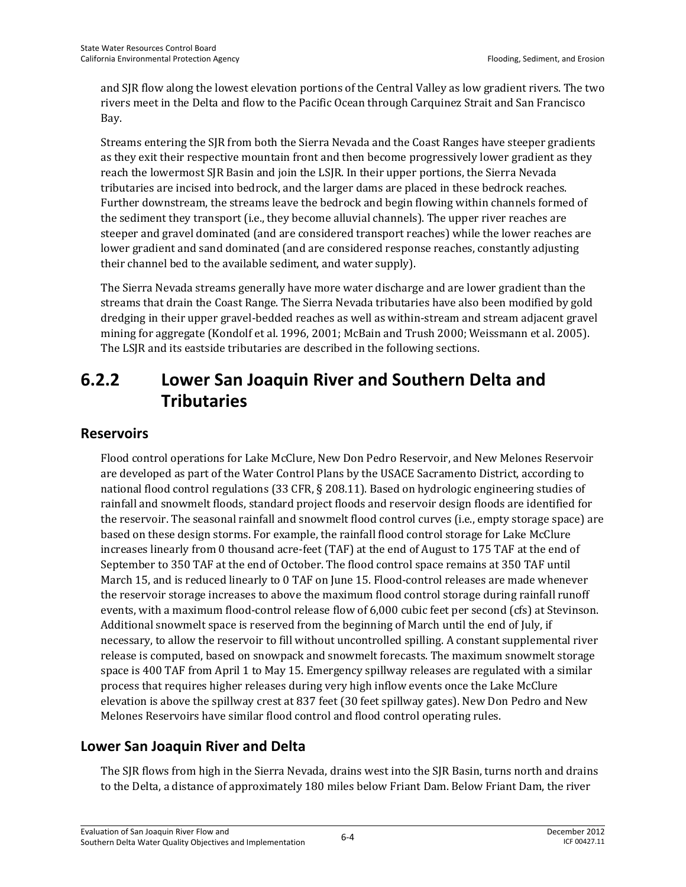and SJR flow along the lowest elevation portions of the Central Valley as low gradient rivers. The two rivers meet in the Delta and flow to the Pacific Ocean through Carquinez Strait and San Francisco Bay.

Streams entering the SJR from both the Sierra Nevada and the Coast Ranges have steeper gradients as they exit their respective mountain front and then become progressively lower gradient as they reach the lowermost SJR Basin and join the LSJR. In their upper portions, the Sierra Nevada tributaries are incised into bedrock, and the larger dams are placed in these bedrock reaches. Further downstream, the streams leave the bedrock and begin flowing within channels formed of the sediment they transport (i.e., they become alluvial channels). The upper river reaches are steeper and gravel dominated (and are considered transport reaches) while the lower reaches are lower gradient and sand dominated (and are considered response reaches, constantly adjusting their channel bed to the available sediment, and water supply).

The Sierra Nevada streams generally have more water discharge and are lower gradient than the streams that drain the Coast Range. The Sierra Nevada tributaries have also been modified by gold dredging in their upper gravel-bedded reaches as well as within-stream and stream adjacent gravel mining for aggregate (Kondolf et al. 1996, 2001; McBain and Trush 2000; Weissmann et al. 2005). The LSJR and its eastside tributaries are described in the following sections.

## **6.2.2 Lower San Joaquin River and Southern Delta and Tributaries**

### **Reservoirs**

Flood control operations for Lake McClure, New Don Pedro Reservoir, and New Melones Reservoir are developed as part of the Water Control Plans by the USACE Sacramento District, according to national flood control regulations (33 CFR, § 208.11). Based on hydrologic engineering studies of rainfall and snowmelt floods, standard project floods and reservoir design floods are identified for the reservoir. The seasonal rainfall and snowmelt flood control curves (i.e., empty storage space) are based on these design storms. For example, the rainfall flood control storage for Lake McClure increases linearly from 0 thousand acre-feet (TAF) at the end of August to 175 TAF at the end of September to 350 TAF at the end of October. The flood control space remains at 350 TAF until March 15, and is reduced linearly to 0 TAF on June 15. Flood-control releases are made whenever the reservoir storage increases to above the maximum flood control storage during rainfall runoff events, with a maximum flood-control release flow of 6,000 cubic feet per second (cfs) at Stevinson. Additional snowmelt space is reserved from the beginning of March until the end of July, if necessary, to allow the reservoir to fill without uncontrolled spilling. A constant supplemental river release is computed, based on snowpack and snowmelt forecasts. The maximum snowmelt storage space is 400 TAF from April 1 to May 15. Emergency spillway releases are regulated with a similar process that requires higher releases during very high inflow events once the Lake McClure elevation is above the spillway crest at 837 feet (30 feet spillway gates). New Don Pedro and New Melones Reservoirs have similar flood control and flood control operating rules.

## **Lower San Joaquin River and Delta**

The SJR flows from high in the Sierra Nevada, drains west into the SJR Basin, turns north and drains to the Delta, a distance of approximately 180 miles below Friant Dam. Below Friant Dam, the river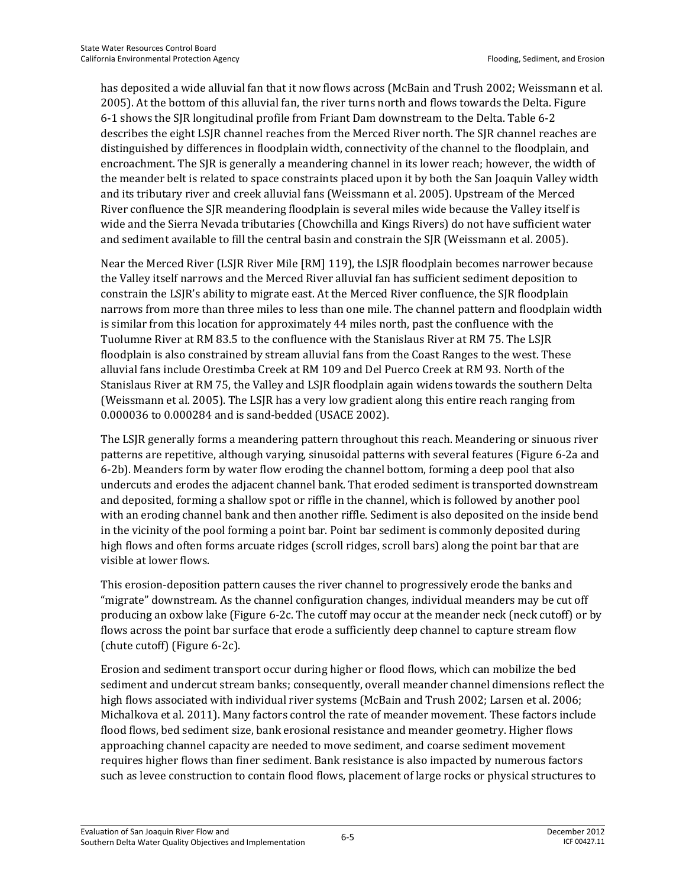has deposited a wide alluvial fan that it now flows across (McBain and Trush 2002; Weissmann et al. 2005). At the bottom of this alluvial fan, the river turns north and flows towards the Delta. Figure 6-1 shows the SJR longitudinal profile from Friant Dam downstream to the Delta. Table 6-2 describes the eight LSJR channel reaches from the Merced River north. The SJR channel reaches are distinguished by differences in floodplain width, connectivity of the channel to the floodplain, and encroachment. The SJR is generally a meandering channel in its lower reach; however, the width of the meander belt is related to space constraints placed upon it by both the San Joaquin Valley width and its tributary river and creek alluvial fans (Weissmann et al. 2005). Upstream of the Merced River confluence the SJR meandering floodplain is several miles wide because the Valley itself is wide and the Sierra Nevada tributaries (Chowchilla and Kings Rivers) do not have sufficient water and sediment available to fill the central basin and constrain the SJR (Weissmann et al. 2005).

Near the Merced River (LSJR River Mile [RM] 119), the LSJR floodplain becomes narrower because the Valley itself narrows and the Merced River alluvial fan has sufficient sediment deposition to constrain the LSJR's ability to migrate east. At the Merced River confluence, the SJR floodplain narrows from more than three miles to less than one mile. The channel pattern and floodplain width is similar from this location for approximately 44 miles north, past the confluence with the Tuolumne River at RM 83.5 to the confluence with the Stanislaus River at RM 75. The LSJR floodplain is also constrained by stream alluvial fans from the Coast Ranges to the west. These alluvial fans include Orestimba Creek at RM 109 and Del Puerco Creek at RM 93. North of the Stanislaus River at RM 75, the Valley and LSJR floodplain again widens towards the southern Delta (Weissmann et al. 2005). The LSJR has a very low gradient along this entire reach ranging from 0.000036 to 0.000284 and is sand-bedded (USACE 2002).

The LSJR generally forms a meandering pattern throughout this reach. Meandering or sinuous river patterns are repetitive, although varying, sinusoidal patterns with several features (Figure 6-2a and 6-2b). Meanders form by water flow eroding the channel bottom, forming a deep pool that also undercuts and erodes the adjacent channel bank. That eroded sediment is transported downstream and deposited, forming a shallow spot or riffle in the channel, which is followed by another pool with an eroding channel bank and then another riffle. Sediment is also deposited on the inside bend in the vicinity of the pool forming a point bar. Point bar sediment is commonly deposited during high flows and often forms arcuate ridges (scroll ridges, scroll bars) along the point bar that are visible at lower flows.

This erosion-deposition pattern causes the river channel to progressively erode the banks and "migrate" downstream. As the channel configuration changes, individual meanders may be cut off producing an oxbow lake (Figure 6-2c. The cutoff may occur at the meander neck (neck cutoff) or by flows across the point bar surface that erode a sufficiently deep channel to capture stream flow (chute cutoff) (Figure 6-2c).

Erosion and sediment transport occur during higher or flood flows, which can mobilize the bed sediment and undercut stream banks; consequently, overall meander channel dimensions reflect the high flows associated with individual river systems (McBain and Trush 2002; Larsen et al. 2006; Michalkova et al. 2011). Many factors control the rate of meander movement. These factors include flood flows, bed sediment size, bank erosional resistance and meander geometry. Higher flows approaching channel capacity are needed to move sediment, and coarse sediment movement requires higher flows than finer sediment. Bank resistance is also impacted by numerous factors such as levee construction to contain flood flows, placement of large rocks or physical structures to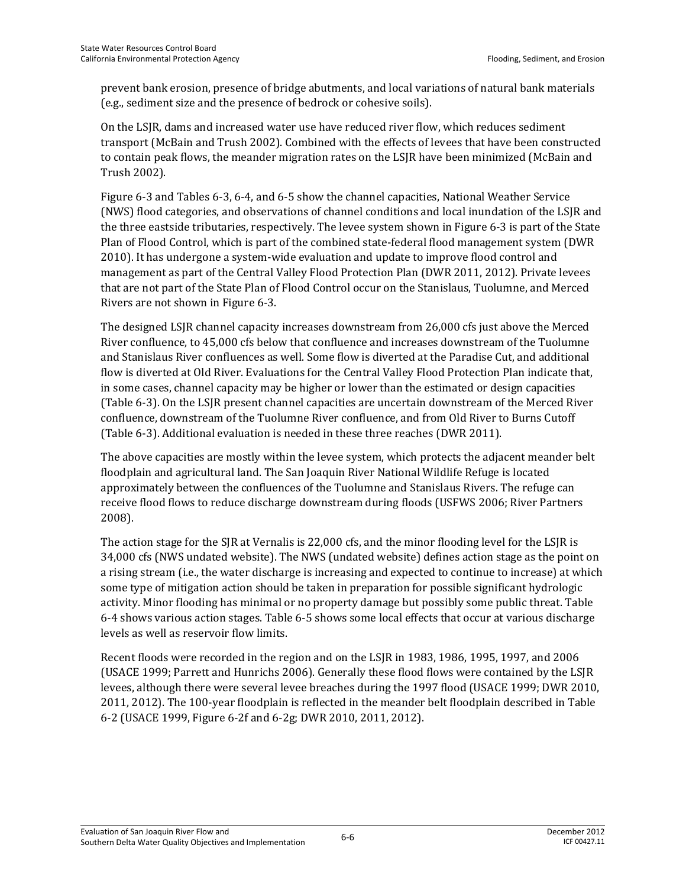prevent bank erosion, presence of bridge abutments, and local variations of natural bank materials (e.g., sediment size and the presence of bedrock or cohesive soils).

On the LSJR, dams and increased water use have reduced river flow, which reduces sediment transport (McBain and Trush 2002). Combined with the effects of levees that have been constructed to contain peak flows, the meander migration rates on the LSJR have been minimized (McBain and Trush 2002).

Figure 6-3 and Tables 6-3, 6-4, and 6-5 show the channel capacities, National Weather Service (NWS) flood categories, and observations of channel conditions and local inundation of the LSJR and the three eastside tributaries, respectively. The levee system shown in Figure 6-3 is part of the State Plan of Flood Control, which is part of the combined state-federal flood management system (DWR 2010). It has undergone a system-wide evaluation and update to improve flood control and management as part of the Central Valley Flood Protection Plan (DWR 2011, 2012). Private levees that are not part of the State Plan of Flood Control occur on the Stanislaus, Tuolumne, and Merced Rivers are not shown in Figure 6-3.

The designed LSJR channel capacity increases downstream from 26,000 cfs just above the Merced River confluence, to 45,000 cfs below that confluence and increases downstream of the Tuolumne and Stanislaus River confluences as well. Some flow is diverted at the Paradise Cut, and additional flow is diverted at Old River. Evaluations for the Central Valley Flood Protection Plan indicate that, in some cases, channel capacity may be higher or lower than the estimated or design capacities (Table 6-3). On the LSJR present channel capacities are uncertain downstream of the Merced River confluence, downstream of the Tuolumne River confluence, and from Old River to Burns Cutoff (Table 6-3). Additional evaluation is needed in these three reaches (DWR 2011).

The above capacities are mostly within the levee system, which protects the adjacent meander belt floodplain and agricultural land. The San Joaquin River National Wildlife Refuge is located approximately between the confluences of the Tuolumne and Stanislaus Rivers. The refuge can receive flood flows to reduce discharge downstream during floods (USFWS 2006; River Partners 2008).

The action stage for the SJR at Vernalis is 22,000 cfs, and the minor flooding level for the LSJR is 34,000 cfs (NWS undated website). The NWS (undated website) defines action stage as the point on a rising stream (i.e., the water discharge is increasing and expected to continue to increase) at which some type of mitigation action should be taken in preparation for possible significant hydrologic activity. Minor flooding has minimal or no property damage but possibly some public threat. Table 6-4 shows various action stages. Table 6-5 shows some local effects that occur at various discharge levels as well as reservoir flow limits.

Recent floods were recorded in the region and on the LSJR in 1983, 1986, 1995, 1997, and 2006 (USACE 1999; Parrett and Hunrichs 2006). Generally these flood flows were contained by the LSJR levees, although there were several levee breaches during the 1997 flood (USACE 1999; DWR 2010, 2011, 2012). The 100-year floodplain is reflected in the meander belt floodplain described in Table 6-2 (USACE 1999, Figure 6-2f and 6-2g; DWR 2010, 2011, 2012).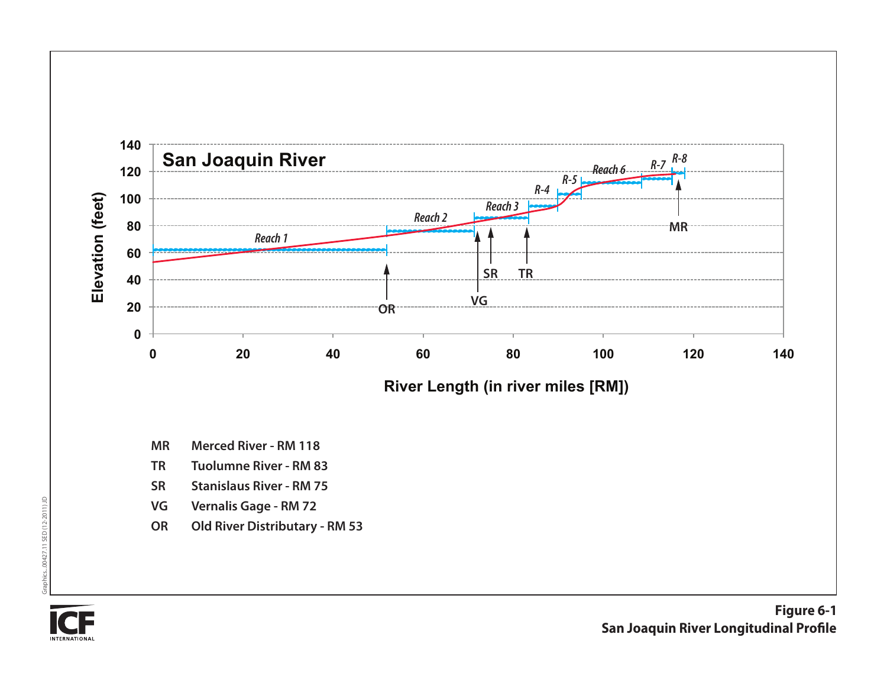

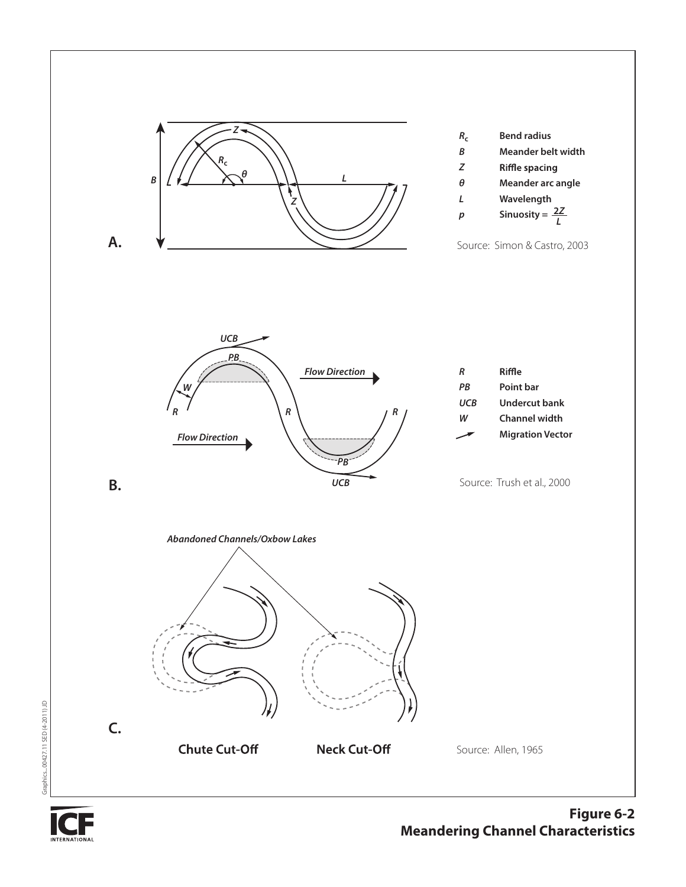



Graphics...00427.11 SED (4-2011) JD

Graphics...00427.11 SED (4-2011) JD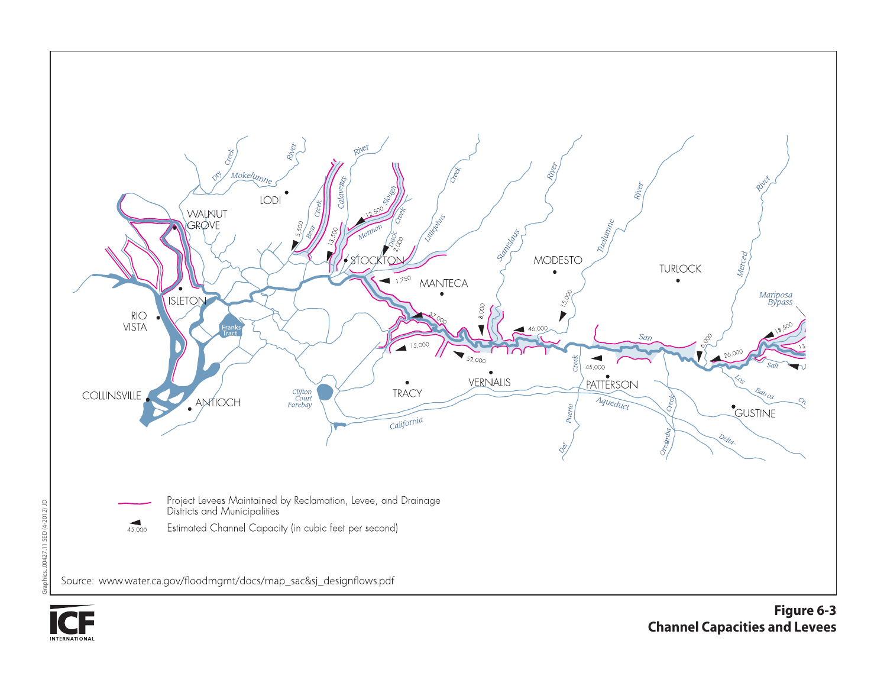



Graphics...00427.11 SED (4-2012) JD

Graphics...00427.11 SED (4-2012) JD

**Figure 6-3 Channel Capacities and Levees**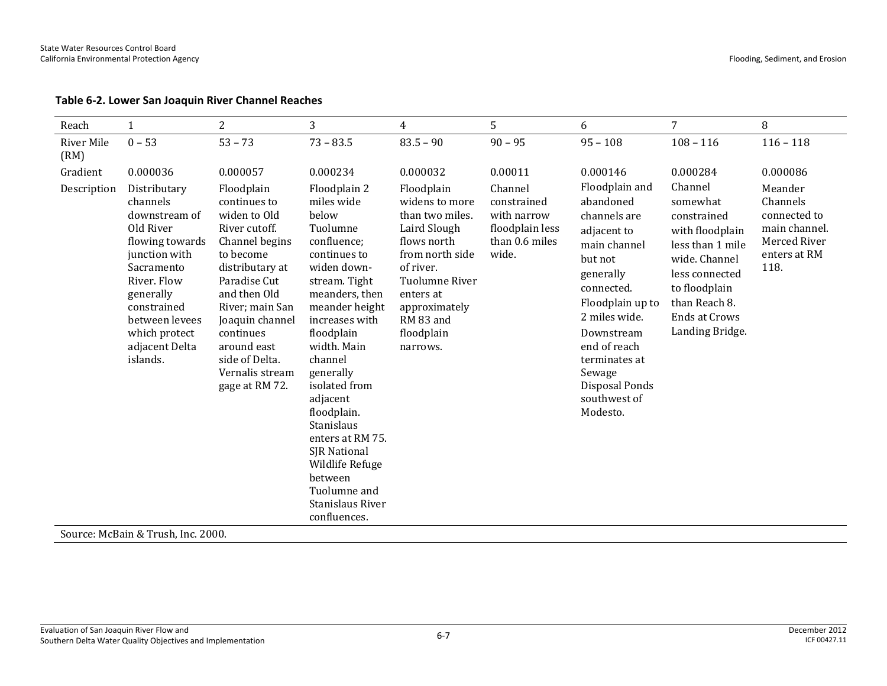#### **Table 6-2. Lower San Joaquin River Channel Reaches**

| $\overline{2}$<br>Reach                                                                                                                                                                                                                                                   |                                                                                                                                                                                                                                                                        | 3                                                                                                                                                                                                                                                                                                                                                                                                         | $\overline{4}$                                                                                                                                                                                        | 5                                                                                   | 6                                                                                                                                                                                                                                                            | 7                                                                                                                                                                                         | 8                                                                                            |
|---------------------------------------------------------------------------------------------------------------------------------------------------------------------------------------------------------------------------------------------------------------------------|------------------------------------------------------------------------------------------------------------------------------------------------------------------------------------------------------------------------------------------------------------------------|-----------------------------------------------------------------------------------------------------------------------------------------------------------------------------------------------------------------------------------------------------------------------------------------------------------------------------------------------------------------------------------------------------------|-------------------------------------------------------------------------------------------------------------------------------------------------------------------------------------------------------|-------------------------------------------------------------------------------------|--------------------------------------------------------------------------------------------------------------------------------------------------------------------------------------------------------------------------------------------------------------|-------------------------------------------------------------------------------------------------------------------------------------------------------------------------------------------|----------------------------------------------------------------------------------------------|
| $0 - 53$<br>River Mile<br>(RM)                                                                                                                                                                                                                                            | $53 - 73$                                                                                                                                                                                                                                                              | $73 - 83.5$                                                                                                                                                                                                                                                                                                                                                                                               | $83.5 - 90$                                                                                                                                                                                           | $90 - 95$                                                                           | $95 - 108$                                                                                                                                                                                                                                                   | $108 - 116$                                                                                                                                                                               | $116 - 118$                                                                                  |
| Gradient<br>0.000036                                                                                                                                                                                                                                                      | 0.000057                                                                                                                                                                                                                                                               | 0.000234                                                                                                                                                                                                                                                                                                                                                                                                  | 0.000032                                                                                                                                                                                              | 0.00011                                                                             | 0.000146                                                                                                                                                                                                                                                     | 0.000284                                                                                                                                                                                  | 0.000086                                                                                     |
| Distributary<br>Description<br>channels<br>downstream of<br>Old River<br>flowing towards<br>junction with<br>Sacramento<br>River. Flow<br>generally<br>constrained<br>between levees<br>which protect<br>adjacent Delta<br>islands.<br>Source: McBain & Trush, Inc. 2000. | Floodplain<br>continues to<br>widen to Old<br>River cutoff.<br>Channel begins<br>to become<br>distributary at<br>Paradise Cut<br>and then Old<br>River; main San<br>Joaquin channel<br>continues<br>around east<br>side of Delta.<br>Vernalis stream<br>gage at RM 72. | Floodplain 2<br>miles wide<br>below<br>Tuolumne<br>confluence;<br>continues to<br>widen down-<br>stream. Tight<br>meanders, then<br>meander height<br>increases with<br>floodplain<br>width. Main<br>channel<br>generally<br>isolated from<br>adjacent<br>floodplain.<br>Stanislaus<br>enters at RM 75.<br>SJR National<br>Wildlife Refuge<br>between<br>Tuolumne and<br>Stanislaus River<br>confluences. | Floodplain<br>widens to more<br>than two miles.<br>Laird Slough<br>flows north<br>from north side<br>of river.<br>Tuolumne River<br>enters at<br>approximately<br>RM 83 and<br>floodplain<br>narrows. | Channel<br>constrained<br>with narrow<br>floodplain less<br>than 0.6 miles<br>wide. | Floodplain and<br>abandoned<br>channels are<br>adjacent to<br>main channel<br>but not<br>generally<br>connected.<br>Floodplain up to<br>2 miles wide.<br>Downstream<br>end of reach<br>terminates at<br>Sewage<br>Disposal Ponds<br>southwest of<br>Modesto. | Channel<br>somewhat<br>constrained<br>with floodplain<br>less than 1 mile<br>wide. Channel<br>less connected<br>to floodplain<br>than Reach 8.<br><b>Ends at Crows</b><br>Landing Bridge. | Meander<br>Channels<br>connected to<br>main channel.<br>Merced River<br>enters at RM<br>118. |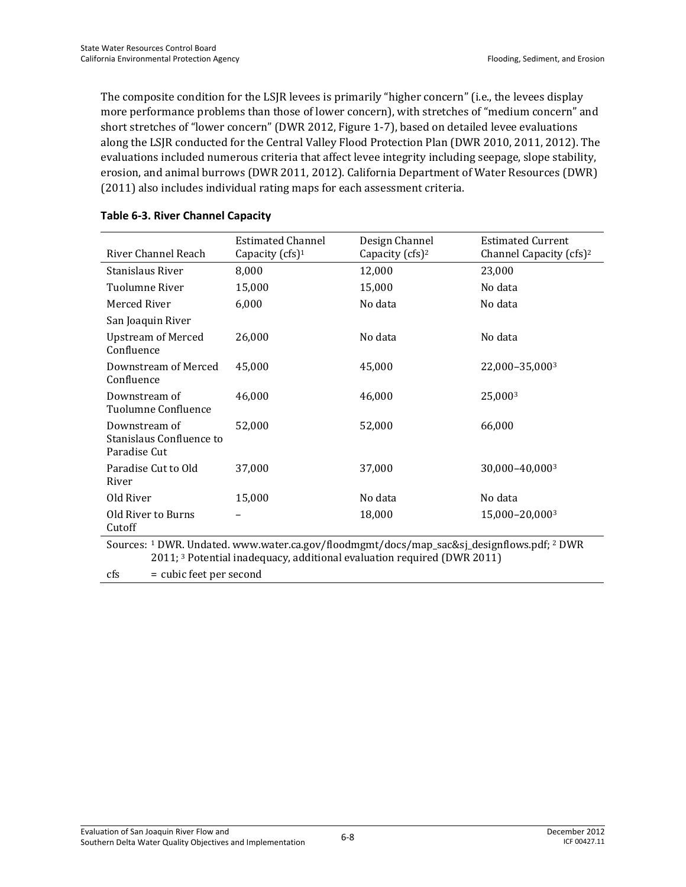The composite condition for the LSJR levees is primarily "higher concern" (i.e., the levees display more performance problems than those of lower concern), with stretches of "medium concern" and short stretches of "lower concern" (DWR 2012, Figure 1-7), based on detailed levee evaluations along the LSJR conducted for the Central Valley Flood Protection Plan (DWR 2010, 2011, 2012). The evaluations included numerous criteria that affect levee integrity including seepage, slope stability, erosion, and animal burrows (DWR 2011, 2012). California Department of Water Resources (DWR) (2011) also includes individual rating maps for each assessment criteria.

|                                                                                                                                                                                  | <b>Estimated Channel</b> | Design Channel              | <b>Estimated Current</b>            |  |  |
|----------------------------------------------------------------------------------------------------------------------------------------------------------------------------------|--------------------------|-----------------------------|-------------------------------------|--|--|
| River Channel Reach                                                                                                                                                              | Capacity $(cfs)^1$       | Capacity (cfs) <sup>2</sup> | Channel Capacity (cfs) <sup>2</sup> |  |  |
| Stanislaus River                                                                                                                                                                 | 8,000                    | 12,000                      | 23,000                              |  |  |
| Tuolumne River                                                                                                                                                                   | 15,000                   | 15,000                      | No data                             |  |  |
| Merced River                                                                                                                                                                     | 6,000                    | No data                     | No data                             |  |  |
| San Joaquin River                                                                                                                                                                |                          |                             |                                     |  |  |
| <b>Upstream of Merced</b><br>Confluence                                                                                                                                          | 26,000                   | No data                     | No data                             |  |  |
| Downstream of Merced<br>Confluence                                                                                                                                               | 45,000                   | 45,000                      | 22,000-35,0003                      |  |  |
| Downstream of<br>Tuolumne Confluence                                                                                                                                             | 46,000                   | 46,000                      | 25,0003                             |  |  |
| Downstream of<br>Stanislaus Confluence to<br>Paradise Cut                                                                                                                        | 52,000                   | 52,000                      | 66,000                              |  |  |
| Paradise Cut to Old<br>River                                                                                                                                                     | 37,000                   | 37,000                      | 30,000-40,0003                      |  |  |
| Old River                                                                                                                                                                        | 15,000                   | No data                     | No data                             |  |  |
| Old River to Burns<br>Cutoff                                                                                                                                                     |                          | 18,000                      | 15,000-20,0003                      |  |  |
| Sources: 1 DWR. Undated. www.water.ca.gov/floodmgmt/docs/map_sac&sj_designflows.pdf; 2 DWR<br>2011; <sup>3</sup> Potential inadequacy, additional evaluation required (DWR 2011) |                          |                             |                                     |  |  |
| = cubic feet per second<br>cfs                                                                                                                                                   |                          |                             |                                     |  |  |

#### **Table 6-3. River Channel Capacity**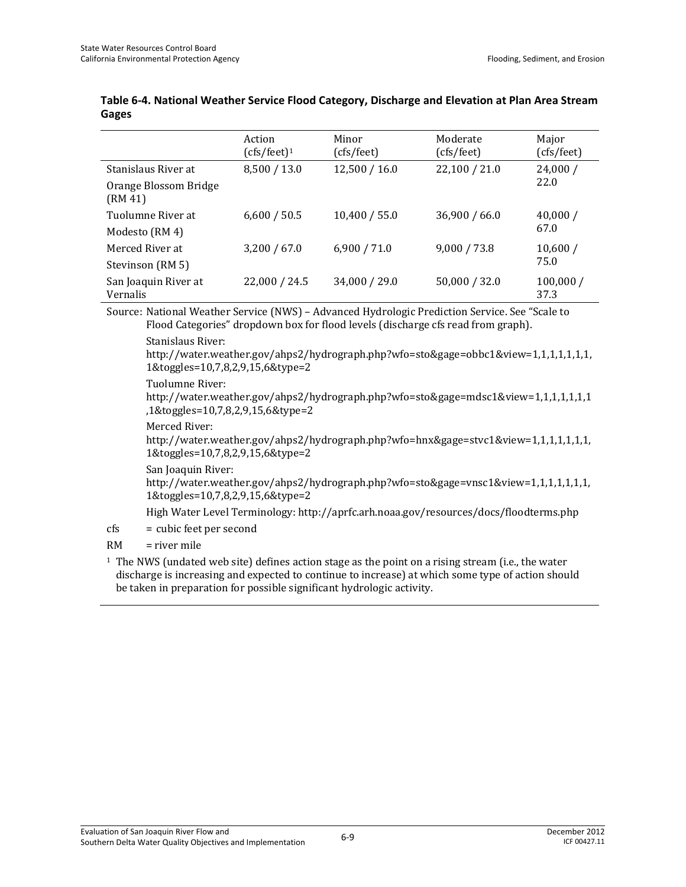|                                  | Action<br>$(cfs/feet)^1$ | Minor<br>(cfs/feet) | Moderate<br>(cfs/feet) | Major<br>(cfs/feet) |
|----------------------------------|--------------------------|---------------------|------------------------|---------------------|
| Stanislaus River at              | 8,500 / 13.0             | 12,500 / 16.0       | 22,100 / 21.0          | 24,000/             |
| Orange Blossom Bridge<br>(RM 41) |                          |                     |                        | 22.0                |
| Tuolumne River at                | 6,600 / 50.5             | 10,400 / 55.0       | 36,900 / 66.0          | 40,000/             |
| Modesto (RM 4)                   |                          |                     |                        | 67.0                |
| Merced River at                  | 3,200 / 67.0             | 6,900 / 71.0        | 9,000 / 73.8           | 10,600/             |
| Stevinson (RM 5)                 |                          |                     |                        | 75.0                |
| San Joaquin River at<br>Vernalis | 22,000 / 24.5            | 34,000 / 29.0       | 50,000 / 32.0          | 100,000/<br>37.3    |

#### **Table 6-4. National Weather Service Flood Category, Discharge and Elevation at Plan Area Stream Gages**

Source: National Weather Service (NWS) – Advanced Hydrologic Prediction Service. See "Scale to Flood Categories" dropdown box for flood levels (discharge cfs read from graph).

Stanislaus River:

http://water.weather.gov/ahps2/hydrograph.php?wfo=sto&gage=obbc1&view=1,1,1,1,1,1,1, 1&toggles=10,7,8,2,9,15,6&type=2

#### Tuolumne River:

http://water.weather.gov/ahps2/hydrograph.php?wfo=sto&gage=mdsc1&view=1,1,1,1,1,1,1 ,1&toggles=10,7,8,2,9,15,6&type=2

#### Merced River:

http://water.weather.gov/ahps2/hydrograph.php?wfo=hnx&gage=stvc1&view=1,1,1,1,1,1,1, 1&toggles=10,7,8,2,9,15,6&type=2

San Joaquin River:

http://water.weather.gov/ahps2/hydrograph.php?wfo=sto&gage=vnsc1&view=1,1,1,1,1,1,1, 1&toggles=10,7,8,2,9,15,6&type=2

High Water Level Terminology: http://aprfc.arh.noaa.gov/resources/docs/floodterms.php

cfs = cubic feet per second

#### $RM = river$  mile

<sup>1</sup> The NWS (undated web site) defines action stage as the point on a rising stream (i.e., the water discharge is increasing and expected to continue to increase) at which some type of action should be taken in preparation for possible significant hydrologic activity.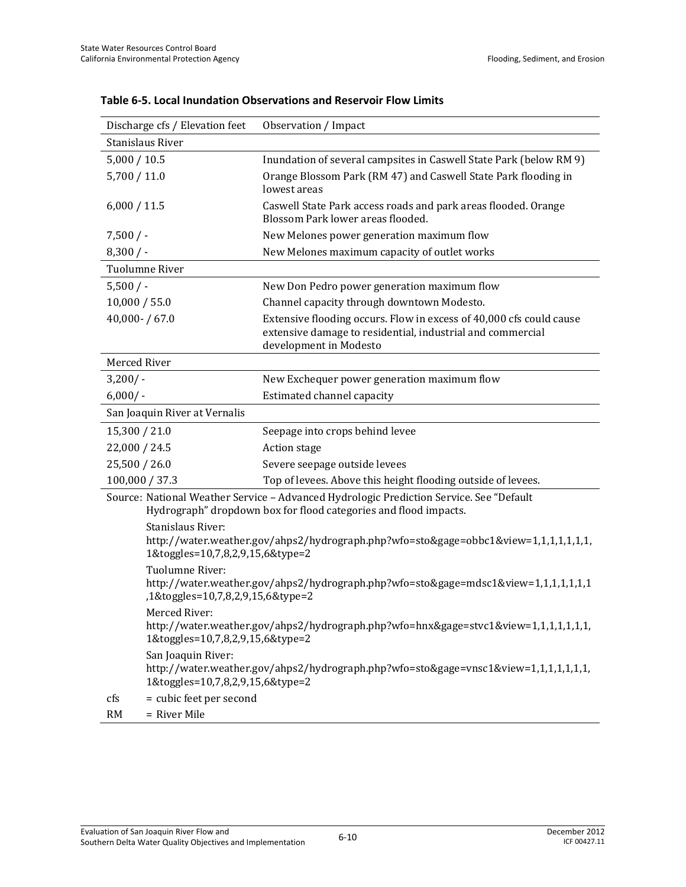| Discharge cfs / Elevation feet                         | Observation / Impact                                                                                                                                        |
|--------------------------------------------------------|-------------------------------------------------------------------------------------------------------------------------------------------------------------|
| Stanislaus River                                       |                                                                                                                                                             |
| 5,000 / 10.5                                           | Inundation of several campsites in Caswell State Park (below RM 9)                                                                                          |
| 5,700 / 11.0                                           | Orange Blossom Park (RM 47) and Caswell State Park flooding in<br>lowest areas                                                                              |
| 6,000 / 11.5                                           | Caswell State Park access roads and park areas flooded. Orange<br>Blossom Park lower areas flooded.                                                         |
| 7,500/                                                 | New Melones power generation maximum flow                                                                                                                   |
| $8,300/$ -                                             | New Melones maximum capacity of outlet works                                                                                                                |
| Tuolumne River                                         |                                                                                                                                                             |
| 5,500/                                                 | New Don Pedro power generation maximum flow                                                                                                                 |
| 10,000 / 55.0                                          | Channel capacity through downtown Modesto.                                                                                                                  |
| $40,000 - 67.0$                                        | Extensive flooding occurs. Flow in excess of 40,000 cfs could cause<br>extensive damage to residential, industrial and commercial<br>development in Modesto |
| Merced River                                           |                                                                                                                                                             |
| 3,200/                                                 | New Exchequer power generation maximum flow                                                                                                                 |
| $6,000/$ -                                             | Estimated channel capacity                                                                                                                                  |
| San Joaquin River at Vernalis                          |                                                                                                                                                             |
| 15,300 / 21.0                                          | Seepage into crops behind levee                                                                                                                             |
| 22,000 / 24.5                                          | Action stage                                                                                                                                                |
| 25,500 / 26.0                                          | Severe seepage outside levees                                                                                                                               |
| 100,000 / 37.3                                         | Top of levees. Above this height flooding outside of levees.                                                                                                |
|                                                        | Source: National Weather Service - Advanced Hydrologic Prediction Service. See "Default<br>Hydrograph" dropdown box for flood categories and flood impacts. |
| Stanislaus River:<br>1&toggles=10,7,8,2,9,15,6&type=2  | http://water.weather.gov/ahps2/hydrograph.php?wfo=sto&gage=obbc1&view=1,1,1,1,1,1,1,1,                                                                      |
| Tuolumne River:<br>,1&toggles=10,7,8,2,9,15,6&type=2   | http://water.weather.gov/ahps2/hydrograph.php?wfo=sto&gage=mdsc1&view=1,1,1,1,1,1,1                                                                         |
| Merced River:<br>1&toggles=10,7,8,2,9,15,6&type=2      | http://water.weather.gov/ahps2/hydrograph.php?wfo=hnx&gage=stvc1&view=1,1,1,1,1,1,1,1,                                                                      |
| San Joaquin River:<br>1&toggles=10,7,8,2,9,15,6&type=2 | http://water.weather.gov/ahps2/hydrograph.php?wfo=sto&gage=vnsc1&view=1,1,1,1,1,1,1,1,                                                                      |
| = cubic feet per second<br>cfs                         |                                                                                                                                                             |
| = River Mile<br><b>RM</b>                              |                                                                                                                                                             |

**Table 6-5. Local Inundation Observations and Reservoir Flow Limits**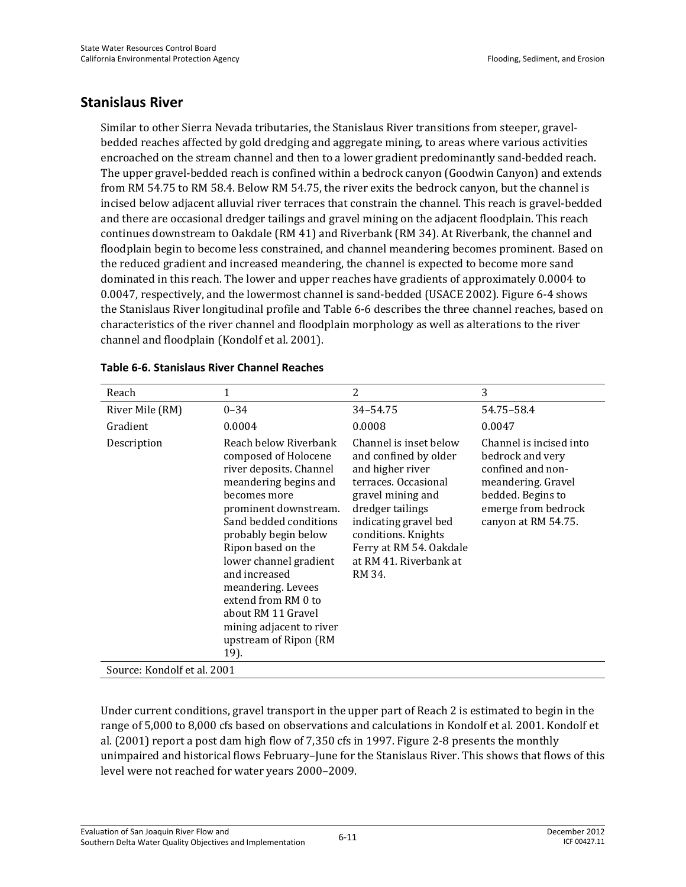### **Stanislaus River**

Similar to other Sierra Nevada tributaries, the Stanislaus River transitions from steeper, gravelbedded reaches affected by gold dredging and aggregate mining, to areas where various activities encroached on the stream channel and then to a lower gradient predominantly sand-bedded reach. The upper gravel-bedded reach is confined within a bedrock canyon (Goodwin Canyon) and extends from RM 54.75 to RM 58.4. Below RM 54.75, the river exits the bedrock canyon, but the channel is incised below adjacent alluvial river terraces that constrain the channel. This reach is gravel-bedded and there are occasional dredger tailings and gravel mining on the adjacent floodplain. This reach continues downstream to Oakdale (RM 41) and Riverbank (RM 34). At Riverbank, the channel and floodplain begin to become less constrained, and channel meandering becomes prominent. Based on the reduced gradient and increased meandering, the channel is expected to become more sand dominated in this reach. The lower and upper reaches have gradients of approximately 0.0004 to 0.0047, respectively, and the lowermost channel is sand-bedded (USACE 2002). Figure 6-4 shows the Stanislaus River longitudinal profile and Table 6-6 describes the three channel reaches, based on characteristics of the river channel and floodplain morphology as well as alterations to the river channel and floodplain (Kondolf et al. 2001).

| Reach                       | 1                                                                                                                                                                                                                                                                                                                                                                                             | 2                                                                                                                                                                                                                                                   | 3                                                                                                                                                         |
|-----------------------------|-----------------------------------------------------------------------------------------------------------------------------------------------------------------------------------------------------------------------------------------------------------------------------------------------------------------------------------------------------------------------------------------------|-----------------------------------------------------------------------------------------------------------------------------------------------------------------------------------------------------------------------------------------------------|-----------------------------------------------------------------------------------------------------------------------------------------------------------|
| River Mile (RM)             | $0 - 34$                                                                                                                                                                                                                                                                                                                                                                                      | 34-54.75                                                                                                                                                                                                                                            | 54.75-58.4                                                                                                                                                |
| Gradient                    | 0.0004                                                                                                                                                                                                                                                                                                                                                                                        | 0.0008                                                                                                                                                                                                                                              | 0.0047                                                                                                                                                    |
| Description                 | Reach below Riverbank<br>composed of Holocene<br>river deposits. Channel<br>meandering begins and<br>becomes more<br>prominent downstream.<br>Sand bedded conditions<br>probably begin below<br>Ripon based on the<br>lower channel gradient<br>and increased<br>meandering. Levees<br>extend from RM 0 to<br>about RM 11 Gravel<br>mining adjacent to river<br>upstream of Ripon (RM<br>19). | Channel is inset below<br>and confined by older<br>and higher river<br>terraces. Occasional<br>gravel mining and<br>dredger tailings<br>indicating gravel bed<br>conditions. Knights<br>Ferry at RM 54. Oakdale<br>at RM 41. Riverbank at<br>RM 34. | Channel is incised into<br>bedrock and very<br>confined and non-<br>meandering. Gravel<br>bedded. Begins to<br>emerge from bedrock<br>canyon at RM 54.75. |
| Source: Kondolf et al. 2001 |                                                                                                                                                                                                                                                                                                                                                                                               |                                                                                                                                                                                                                                                     |                                                                                                                                                           |

#### **Table 6-6. Stanislaus River Channel Reaches**

Under current conditions, gravel transport in the upper part of Reach 2 is estimated to begin in the range of 5,000 to 8,000 cfs based on observations and calculations in Kondolf et al. 2001. Kondolf et al. (2001) report a post dam high flow of 7,350 cfs in 1997. Figure 2-8 presents the monthly unimpaired and historical flows February–June for the Stanislaus River. This shows that flows of this level were not reached for water years 2000–2009.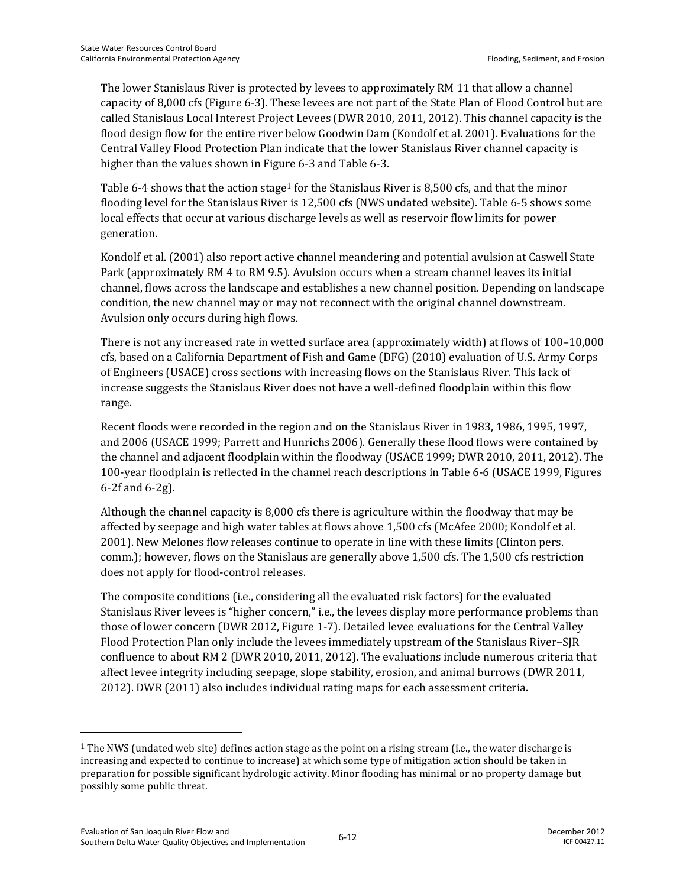The lower Stanislaus River is protected by levees to approximately RM 11 that allow a channel capacity of 8,000 cfs (Figure 6-3). These levees are not part of the State Plan of Flood Control but are called Stanislaus Local Interest Project Levees (DWR 2010, 2011, 2012). This channel capacity is the flood design flow for the entire river below Goodwin Dam (Kondolf et al. 2001). Evaluations for the Central Valley Flood Protection Plan indicate that the lower Stanislaus River channel capacity is higher than the values shown in Figure 6-3 and Table 6-3.

Table 6-4 shows that the action stage<sup>1</sup> for the Stanislaus River is 8,500 cfs, and that the minor flooding level for the Stanislaus River is 12,500 cfs (NWS undated website). Table 6-5 shows some local effects that occur at various discharge levels as well as reservoir flow limits for power generation.

Kondolf et al. (2001) also report active channel meandering and potential avulsion at Caswell State Park (approximately RM 4 to RM 9.5). Avulsion occurs when a stream channel leaves its initial channel, flows across the landscape and establishes a new channel position. Depending on landscape condition, the new channel may or may not reconnect with the original channel downstream. Avulsion only occurs during high flows.

There is not any increased rate in wetted surface area (approximately width) at flows of 100–10,000 cfs, based on a California Department of Fish and Game (DFG) (2010) evaluation of U.S. Army Corps of Engineers (USACE) cross sections with increasing flows on the Stanislaus River. This lack of increase suggests the Stanislaus River does not have a well-defined floodplain within this flow range.

Recent floods were recorded in the region and on the Stanislaus River in 1983, 1986, 1995, 1997, and 2006 (USACE 1999; Parrett and Hunrichs 2006). Generally these flood flows were contained by the channel and adjacent floodplain within the floodway (USACE 1999; DWR 2010, 2011, 2012). The 100-year floodplain is reflected in the channel reach descriptions in Table 6-6 (USACE 1999, Figures 6-2f and 6-2g).

Although the channel capacity is 8,000 cfs there is agriculture within the floodway that may be affected by seepage and high water tables at flows above 1,500 cfs (McAfee 2000; Kondolf et al. 2001). New Melones flow releases continue to operate in line with these limits (Clinton pers. comm.); however, flows on the Stanislaus are generally above 1,500 cfs. The 1,500 cfs restriction does not apply for flood-control releases.

The composite conditions (i.e., considering all the evaluated risk factors) for the evaluated Stanislaus River levees is "higher concern," i.e., the levees display more performance problems than those of lower concern (DWR 2012, Figure 1-7). Detailed levee evaluations for the Central Valley Flood Protection Plan only include the levees immediately upstream of the Stanislaus River–SJR confluence to about RM 2 (DWR 2010, 2011, 2012). The evaluations include numerous criteria that affect levee integrity including seepage, slope stability, erosion, and animal burrows (DWR 2011, 2012). DWR (2011) also includes individual rating maps for each assessment criteria.

 $\overline{a}$ 

<sup>1</sup> The NWS (undated web site) defines action stage as the point on a rising stream (i.e., the water discharge is increasing and expected to continue to increase) at which some type of mitigation action should be taken in preparation for possible significant hydrologic activity. Minor flooding has minimal or no property damage but possibly some public threat.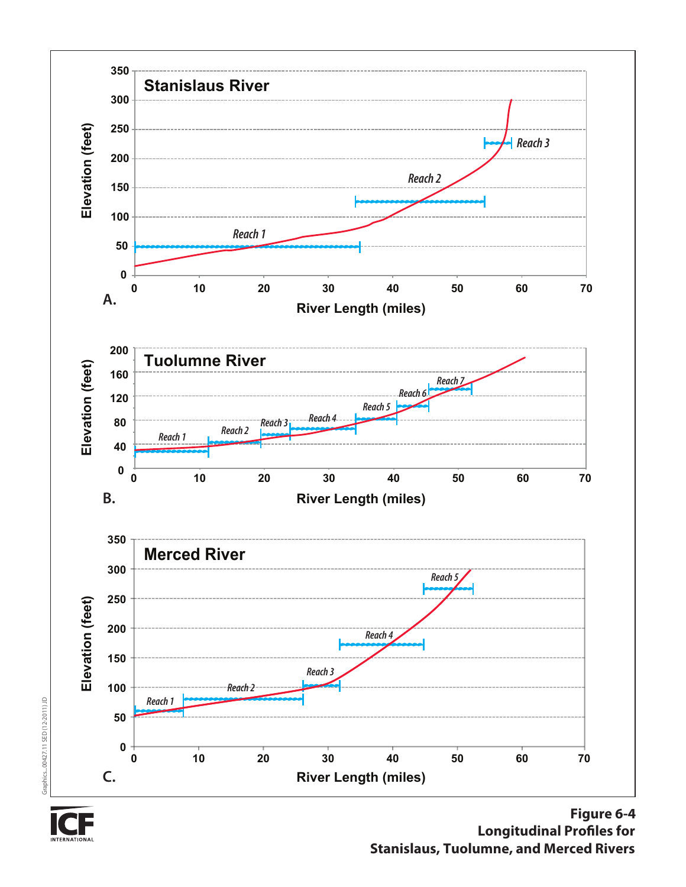



**Figure 6-4 Longitudinal Profiles for Stanislaus, Tuolumne, and Merced Rivers**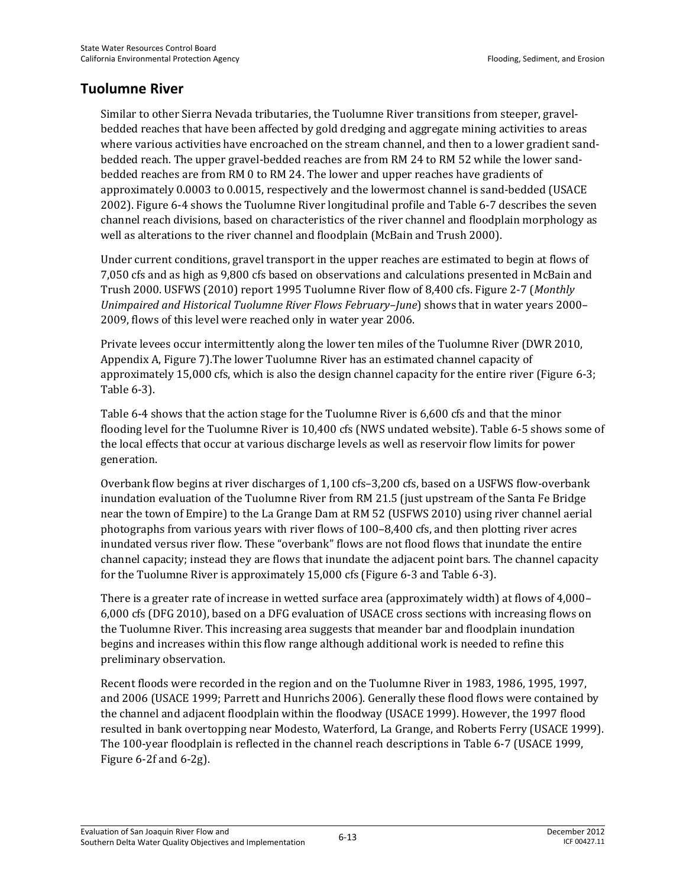### **Tuolumne River**

Similar to other Sierra Nevada tributaries, the Tuolumne River transitions from steeper, gravelbedded reaches that have been affected by gold dredging and aggregate mining activities to areas where various activities have encroached on the stream channel, and then to a lower gradient sandbedded reach. The upper gravel-bedded reaches are from RM 24 to RM 52 while the lower sandbedded reaches are from RM 0 to RM 24. The lower and upper reaches have gradients of approximately 0.0003 to 0.0015, respectively and the lowermost channel is sand-bedded (USACE 2002). Figure 6-4 shows the Tuolumne River longitudinal profile and Table 6-7 describes the seven channel reach divisions, based on characteristics of the river channel and floodplain morphology as well as alterations to the river channel and floodplain (McBain and Trush 2000).

Under current conditions, gravel transport in the upper reaches are estimated to begin at flows of 7,050 cfs and as high as 9,800 cfs based on observations and calculations presented in McBain and Trush 2000. USFWS (2010) report 1995 Tuolumne River flow of 8,400 cfs. Figure 2-7 (*Monthly Unimpaired and Historical Tuolumne River Flows February–June*) shows that in water years 2000– 2009, flows of this level were reached only in water year 2006.

Private levees occur intermittently along the lower ten miles of the Tuolumne River (DWR 2010, Appendix A, Figure 7).The lower Tuolumne River has an estimated channel capacity of approximately 15,000 cfs, which is also the design channel capacity for the entire river (Figure 6-3; Table 6-3).

Table 6-4 shows that the action stage for the Tuolumne River is 6,600 cfs and that the minor flooding level for the Tuolumne River is 10,400 cfs (NWS undated website). Table 6-5 shows some of the local effects that occur at various discharge levels as well as reservoir flow limits for power generation.

Overbank flow begins at river discharges of 1,100 cfs–3,200 cfs, based on a USFWS flow-overbank inundation evaluation of the Tuolumne River from RM 21.5 (just upstream of the Santa Fe Bridge near the town of Empire) to the La Grange Dam at RM 52 (USFWS 2010) using river channel aerial photographs from various years with river flows of 100–8,400 cfs, and then plotting river acres inundated versus river flow. These "overbank" flows are not flood flows that inundate the entire channel capacity; instead they are flows that inundate the adjacent point bars. The channel capacity for the Tuolumne River is approximately 15,000 cfs (Figure 6-3 and Table 6-3).

There is a greater rate of increase in wetted surface area (approximately width) at flows of 4,000– 6,000 cfs (DFG 2010), based on a DFG evaluation of USACE cross sections with increasing flows on the Tuolumne River. This increasing area suggests that meander bar and floodplain inundation begins and increases within this flow range although additional work is needed to refine this preliminary observation.

Recent floods were recorded in the region and on the Tuolumne River in 1983, 1986, 1995, 1997, and 2006 (USACE 1999; Parrett and Hunrichs 2006). Generally these flood flows were contained by the channel and adjacent floodplain within the floodway (USACE 1999). However, the 1997 flood resulted in bank overtopping near Modesto, Waterford, La Grange, and Roberts Ferry (USACE 1999). The 100-year floodplain is reflected in the channel reach descriptions in Table 6-7 (USACE 1999, Figure 6-2f and 6-2g).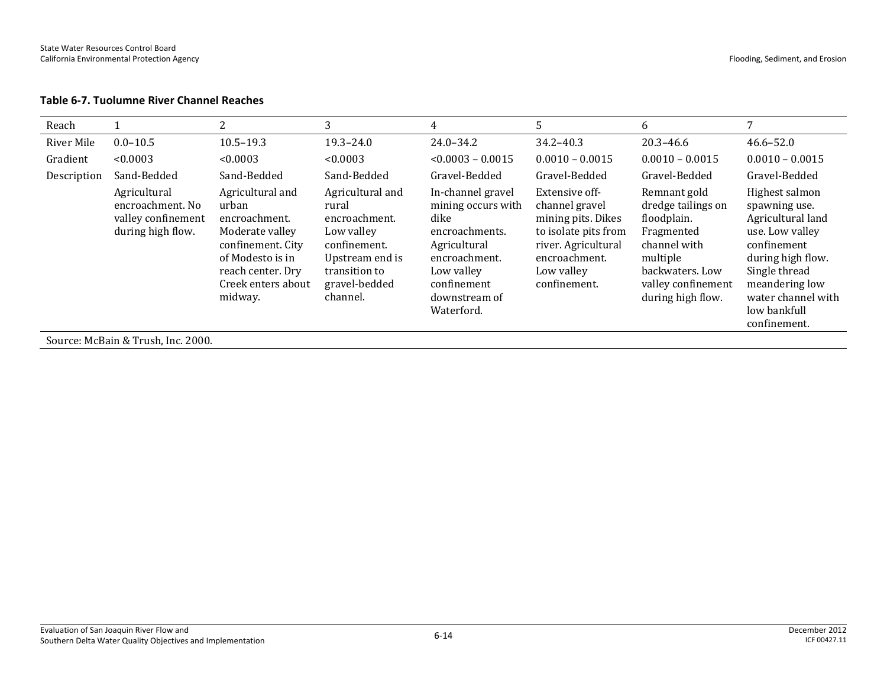#### **Table 6-7. Tuolumne River Channel Reaches**

| Reach       |                                                                             | 2                                                                                                                                                            | 3                                                                                                                                         | 4                                                                                                                                                              | 5                                                                                                                                                    | 6                                                                                                                                                         | 7                                                                                                                                                                                                    |
|-------------|-----------------------------------------------------------------------------|--------------------------------------------------------------------------------------------------------------------------------------------------------------|-------------------------------------------------------------------------------------------------------------------------------------------|----------------------------------------------------------------------------------------------------------------------------------------------------------------|------------------------------------------------------------------------------------------------------------------------------------------------------|-----------------------------------------------------------------------------------------------------------------------------------------------------------|------------------------------------------------------------------------------------------------------------------------------------------------------------------------------------------------------|
| River Mile  | $0.0 - 10.5$                                                                | $10.5 - 19.3$                                                                                                                                                | $19.3 - 24.0$                                                                                                                             | $24.0 - 34.2$                                                                                                                                                  | $34.2 - 40.3$                                                                                                                                        | $20.3 - 46.6$                                                                                                                                             | $46.6 - 52.0$                                                                                                                                                                                        |
| Gradient    | < 0.0003                                                                    | < 0.0003                                                                                                                                                     | < 0.0003                                                                                                                                  | $< 0.0003 - 0.0015$                                                                                                                                            | $0.0010 - 0.0015$                                                                                                                                    | $0.0010 - 0.0015$                                                                                                                                         | $0.0010 - 0.0015$                                                                                                                                                                                    |
| Description | Sand-Bedded                                                                 | Sand-Bedded                                                                                                                                                  | Sand-Bedded                                                                                                                               | Gravel-Bedded                                                                                                                                                  | Gravel-Bedded                                                                                                                                        | Gravel-Bedded                                                                                                                                             | Gravel-Bedded                                                                                                                                                                                        |
|             | Agricultural<br>encroachment. No<br>valley confinement<br>during high flow. | Agricultural and<br>urban<br>encroachment.<br>Moderate valley<br>confinement. City<br>of Modesto is in<br>reach center. Dry<br>Creek enters about<br>midway. | Agricultural and<br>rural<br>encroachment.<br>Low valley<br>confinement.<br>Upstream end is<br>transition to<br>gravel-bedded<br>channel. | In-channel gravel<br>mining occurs with<br>dike<br>encroachments.<br>Agricultural<br>encroachment.<br>Low valley<br>confinement<br>downstream of<br>Waterford. | Extensive off-<br>channel gravel<br>mining pits. Dikes<br>to isolate pits from<br>river. Agricultural<br>encroachment.<br>Low valley<br>confinement. | Remnant gold<br>dredge tailings on<br>floodplain.<br>Fragmented<br>channel with<br>multiple<br>backwaters. Low<br>valley confinement<br>during high flow. | Highest salmon<br>spawning use.<br>Agricultural land<br>use. Low valley<br>confinement<br>during high flow.<br>Single thread<br>meandering low<br>water channel with<br>low bankfull<br>confinement. |
|             | Source: McBain & Trush, Inc. 2000.                                          |                                                                                                                                                              |                                                                                                                                           |                                                                                                                                                                |                                                                                                                                                      |                                                                                                                                                           |                                                                                                                                                                                                      |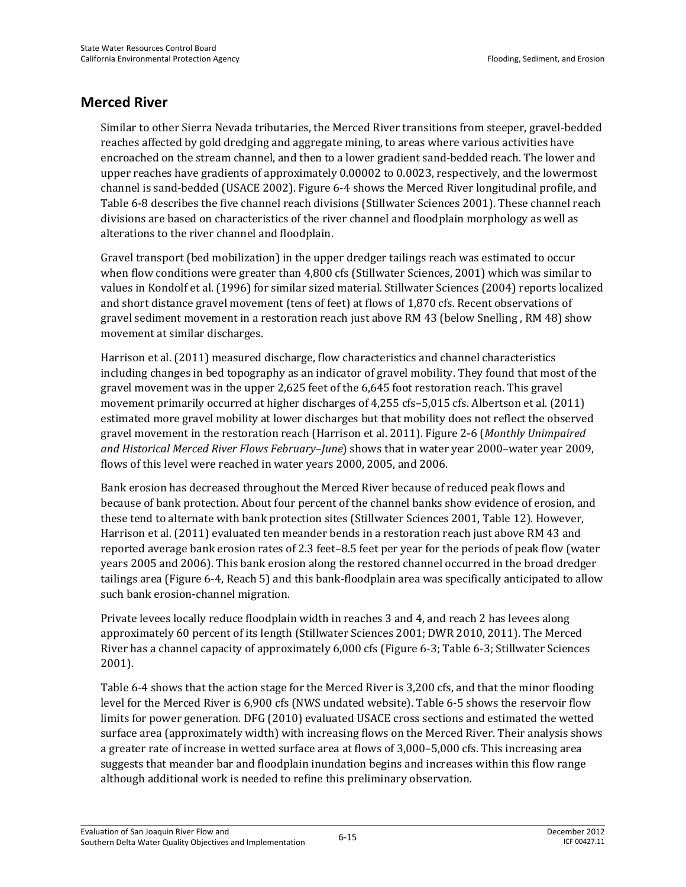### **Merced River**

Similar to other Sierra Nevada tributaries, the Merced River transitions from steeper, gravel-bedded reaches affected by gold dredging and aggregate mining, to areas where various activities have encroached on the stream channel, and then to a lower gradient sand-bedded reach. The lower and upper reaches have gradients of approximately 0.00002 to 0.0023, respectively, and the lowermost channel is sand-bedded (USACE 2002). Figure 6-4 shows the Merced River longitudinal profile, and Table 6-8 describes the five channel reach divisions (Stillwater Sciences 2001). These channel reach divisions are based on characteristics of the river channel and floodplain morphology as well as alterations to the river channel and floodplain.

Gravel transport (bed mobilization) in the upper dredger tailings reach was estimated to occur when flow conditions were greater than 4,800 cfs (Stillwater Sciences, 2001) which was similar to values in Kondolf et al. (1996) for similar sized material. Stillwater Sciences (2004) reports localized and short distance gravel movement (tens of feet) at flows of 1,870 cfs. Recent observations of gravel sediment movement in a restoration reach just above RM 43 (below Snelling , RM 48) show movement at similar discharges.

Harrison et al. (2011) measured discharge, flow characteristics and channel characteristics including changes in bed topography as an indicator of gravel mobility. They found that most of the gravel movement was in the upper 2,625 feet of the 6,645 foot restoration reach. This gravel movement primarily occurred at higher discharges of 4,255 cfs–5,015 cfs. Albertson et al. (2011) estimated more gravel mobility at lower discharges but that mobility does not reflect the observed gravel movement in the restoration reach (Harrison et al. 2011). Figure 2-6 (*Monthly Unimpaired and Historical Merced River Flows February–June*) shows that in water year 2000–water year 2009, flows of this level were reached in water years 2000, 2005, and 2006.

Bank erosion has decreased throughout the Merced River because of reduced peak flows and because of bank protection. About four percent of the channel banks show evidence of erosion, and these tend to alternate with bank protection sites (Stillwater Sciences 2001, Table 12). However, Harrison et al. (2011) evaluated ten meander bends in a restoration reach just above RM 43 and reported average bank erosion rates of 2.3 feet–8.5 feet per year for the periods of peak flow (water years 2005 and 2006). This bank erosion along the restored channel occurred in the broad dredger tailings area (Figure 6-4, Reach 5) and this bank-floodplain area was specifically anticipated to allow such bank erosion-channel migration.

Private levees locally reduce floodplain width in reaches 3 and 4, and reach 2 has levees along approximately 60 percent of its length (Stillwater Sciences 2001; DWR 2010, 2011). The Merced River has a channel capacity of approximately 6,000 cfs (Figure 6-3; Table 6-3; Stillwater Sciences 2001).

Table 6-4 shows that the action stage for the Merced River is 3,200 cfs, and that the minor flooding level for the Merced River is 6,900 cfs (NWS undated website). Table 6-5 shows the reservoir flow limits for power generation. DFG (2010) evaluated USACE cross sections and estimated the wetted surface area (approximately width) with increasing flows on the Merced River. Their analysis shows a greater rate of increase in wetted surface area at flows of 3,000–5,000 cfs. This increasing area suggests that meander bar and floodplain inundation begins and increases within this flow range although additional work is needed to refine this preliminary observation.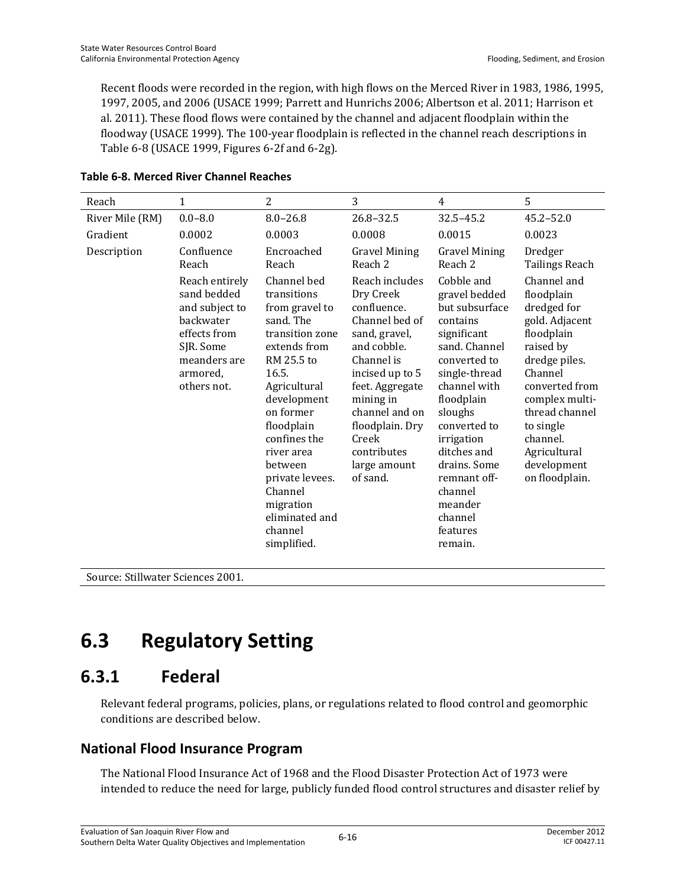Recent floods were recorded in the region, with high flows on the Merced River in 1983, 1986, 1995, 1997, 2005, and 2006 (USACE 1999; Parrett and Hunrichs 2006; Albertson et al. 2011; Harrison et al. 2011). These flood flows were contained by the channel and adjacent floodplain within the floodway (USACE 1999). The 100-year floodplain is reflected in the channel reach descriptions in Table 6-8 (USACE 1999, Figures 6-2f and 6-2g).

| Reach           | 1                                                                                                                                    | $\overline{2}$                                                                                                                                                                                                                                                                                                | 3                                                                                                                                                                                                                                                      | $\overline{4}$                                                                                                                                                                                                                                                                                           | 5                                                                                                                                                                                                                                                 |
|-----------------|--------------------------------------------------------------------------------------------------------------------------------------|---------------------------------------------------------------------------------------------------------------------------------------------------------------------------------------------------------------------------------------------------------------------------------------------------------------|--------------------------------------------------------------------------------------------------------------------------------------------------------------------------------------------------------------------------------------------------------|----------------------------------------------------------------------------------------------------------------------------------------------------------------------------------------------------------------------------------------------------------------------------------------------------------|---------------------------------------------------------------------------------------------------------------------------------------------------------------------------------------------------------------------------------------------------|
| River Mile (RM) | $0.0 - 8.0$                                                                                                                          | $8.0 - 26.8$                                                                                                                                                                                                                                                                                                  | $26.8 - 32.5$                                                                                                                                                                                                                                          | $32.5 - 45.2$                                                                                                                                                                                                                                                                                            | $45.2 - 52.0$                                                                                                                                                                                                                                     |
| Gradient        | 0.0002                                                                                                                               | 0.0003                                                                                                                                                                                                                                                                                                        | 0.0008                                                                                                                                                                                                                                                 | 0.0015                                                                                                                                                                                                                                                                                                   | 0.0023                                                                                                                                                                                                                                            |
| Description     | Confluence<br>Reach                                                                                                                  | Encroached<br>Reach                                                                                                                                                                                                                                                                                           | <b>Gravel Mining</b><br>Reach 2                                                                                                                                                                                                                        | <b>Gravel Mining</b><br>Reach 2                                                                                                                                                                                                                                                                          | Dredger<br><b>Tailings Reach</b>                                                                                                                                                                                                                  |
|                 | Reach entirely<br>sand bedded<br>and subject to<br>backwater<br>effects from<br>SJR. Some<br>meanders are<br>armored,<br>others not. | Channel bed<br>transitions<br>from gravel to<br>sand. The<br>transition zone<br>extends from<br>RM 25.5 to<br>16.5.<br>Agricultural<br>development<br>on former<br>floodplain<br>confines the<br>river area<br>between<br>private levees.<br>Channel<br>migration<br>eliminated and<br>channel<br>simplified. | Reach includes<br>Dry Creek<br>confluence.<br>Channel bed of<br>sand, gravel,<br>and cobble.<br>Channel is<br>incised up to 5<br>feet. Aggregate<br>mining in<br>channel and on<br>floodplain. Dry<br>Creek<br>contributes<br>large amount<br>of sand. | Cobble and<br>gravel bedded<br>but subsurface<br>contains<br>significant<br>sand. Channel<br>converted to<br>single-thread<br>channel with<br>floodplain<br>sloughs<br>converted to<br>irrigation<br>ditches and<br>drains. Some<br>remnant off-<br>channel<br>meander<br>channel<br>features<br>remain. | Channel and<br>floodplain<br>dredged for<br>gold. Adjacent<br>floodplain<br>raised by<br>dredge piles.<br>Channel<br>converted from<br>complex multi-<br>thread channel<br>to single<br>channel.<br>Agricultural<br>development<br>on floodplain. |

#### **Table 6-8. Merced River Channel Reaches**

Source: Stillwater Sciences 2001.

# **6.3 Regulatory Setting**

## **6.3.1 Federal**

Relevant federal programs, policies, plans, or regulations related to flood control and geomorphic conditions are described below.

## **National Flood Insurance Program**

The National Flood Insurance Act of 1968 and the Flood Disaster Protection Act of 1973 were intended to reduce the need for large, publicly funded flood control structures and disaster relief by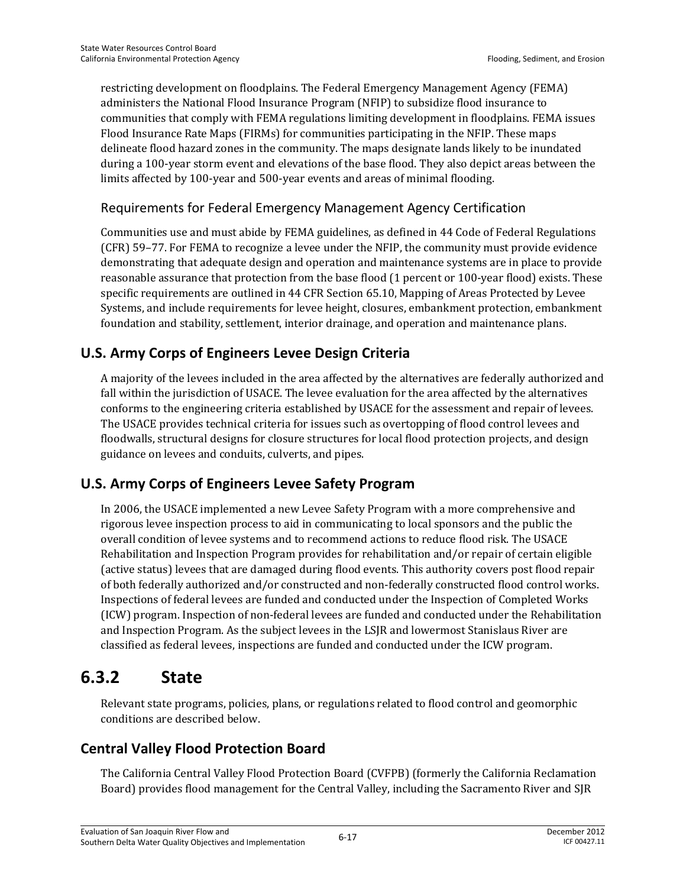restricting development on floodplains. The Federal Emergency Management Agency (FEMA) administers the National Flood Insurance Program (NFIP) to subsidize flood insurance to communities that comply with FEMA regulations limiting development in floodplains. FEMA issues Flood Insurance Rate Maps (FIRMs) for communities participating in the NFIP. These maps delineate flood hazard zones in the community. The maps designate lands likely to be inundated during a 100-year storm event and elevations of the base flood. They also depict areas between the limits affected by 100-year and 500-year events and areas of minimal flooding.

### Requirements for Federal Emergency Management Agency Certification

Communities use and must abide by FEMA guidelines, as defined in 44 Code of Federal Regulations (CFR) 59–77. For FEMA to recognize a levee under the NFIP, the community must provide evidence demonstrating that adequate design and operation and maintenance systems are in place to provide reasonable assurance that protection from the base flood (1 percent or 100-year flood) exists. These specific requirements are outlined in 44 CFR Section 65.10, Mapping of Areas Protected by Levee Systems, and include requirements for levee height, closures, embankment protection, embankment foundation and stability, settlement, interior drainage, and operation and maintenance plans.

## **U.S. Army Corps of Engineers Levee Design Criteria**

A majority of the levees included in the area affected by the alternatives are federally authorized and fall within the jurisdiction of USACE. The levee evaluation for the area affected by the alternatives conforms to the engineering criteria established by USACE for the assessment and repair of levees. The USACE provides technical criteria for issues such as overtopping of flood control levees and floodwalls, structural designs for closure structures for local flood protection projects, and design guidance on levees and conduits, culverts, and pipes.

## **U.S. Army Corps of Engineers Levee Safety Program**

In 2006, the USACE implemented a new Levee Safety Program with a more comprehensive and rigorous levee inspection process to aid in communicating to local sponsors and the public the overall condition of levee systems and to recommend actions to reduce flood risk. The USACE Rehabilitation and Inspection Program provides for rehabilitation and/or repair of certain eligible (active status) levees that are damaged during flood events. This authority covers post flood repair of both federally authorized and/or constructed and non-federally constructed flood control works. Inspections of federal levees are funded and conducted under the Inspection of Completed Works (ICW) program. Inspection of non-federal levees are funded and conducted under the Rehabilitation and Inspection Program. As the subject levees in the LSJR and lowermost Stanislaus River are classified as federal levees, inspections are funded and conducted under the ICW program.

## **6.3.2 State**

Relevant state programs, policies, plans, or regulations related to flood control and geomorphic conditions are described below.

## **Central Valley Flood Protection Board**

The California Central Valley Flood Protection Board (CVFPB) (formerly the California Reclamation Board) provides flood management for the Central Valley, including the Sacramento River and SJR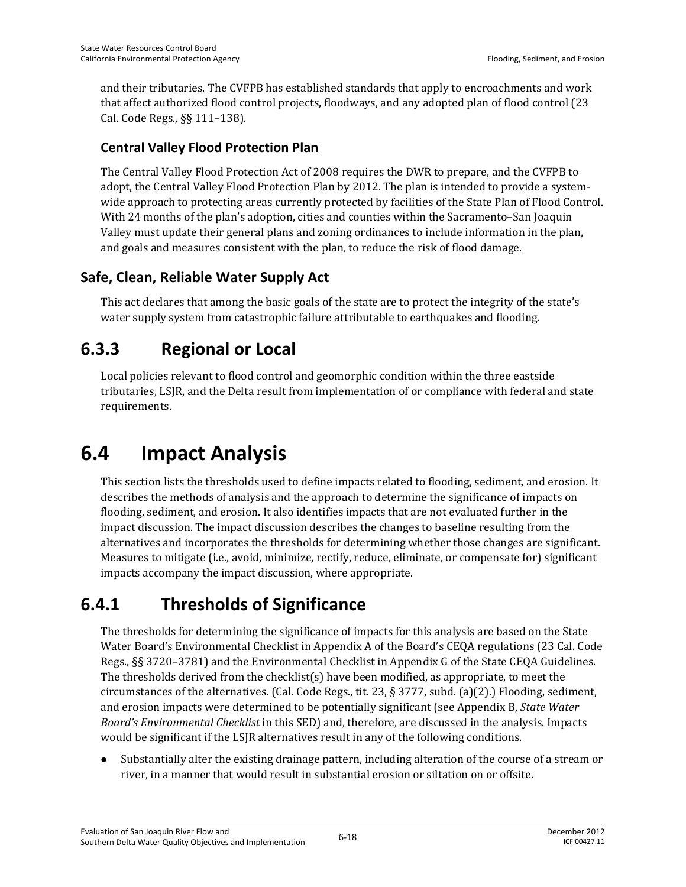and their tributaries. The CVFPB has established standards that apply to encroachments and work that affect authorized flood control projects, floodways, and any adopted plan of flood control (23 Cal. Code Regs., §§ 111–138).

### **Central Valley Flood Protection Plan**

The Central Valley Flood Protection Act of 2008 requires the DWR to prepare, and the CVFPB to adopt, the Central Valley Flood Protection Plan by 2012. The plan is intended to provide a systemwide approach to protecting areas currently protected by facilities of the State Plan of Flood Control. With 24 months of the plan's adoption, cities and counties within the Sacramento–San Joaquin Valley must update their general plans and zoning ordinances to include information in the plan, and goals and measures consistent with the plan, to reduce the risk of flood damage.

## **Safe, Clean, Reliable Water Supply Act**

This act declares that among the basic goals of the state are to protect the integrity of the state's water supply system from catastrophic failure attributable to earthquakes and flooding.

## **6.3.3 Regional or Local**

Local policies relevant to flood control and geomorphic condition within the three eastside tributaries, LSJR, and the Delta result from implementation of or compliance with federal and state requirements.

# **6.4 Impact Analysis**

This section lists the thresholds used to define impacts related to flooding, sediment, and erosion. It describes the methods of analysis and the approach to determine the significance of impacts on flooding, sediment, and erosion. It also identifies impacts that are not evaluated further in the impact discussion. The impact discussion describes the changes to baseline resulting from the alternatives and incorporates the thresholds for determining whether those changes are significant. Measures to mitigate (i.e., avoid, minimize, rectify, reduce, eliminate, or compensate for) significant impacts accompany the impact discussion, where appropriate.

## **6.4.1 Thresholds of Significance**

The thresholds for determining the significance of impacts for this analysis are based on the State Water Board's Environmental Checklist in Appendix A of the Board's CEQA regulations (23 Cal. Code Regs., §§ 3720–3781) and the Environmental Checklist in Appendix G of the State CEQA Guidelines. The thresholds derived from the checklist(s) have been modified, as appropriate, to meet the circumstances of the alternatives. (Cal. Code Regs., tit. 23, § 3777, subd. (a)(2).) Flooding, sediment, and erosion impacts were determined to be potentially significant (see Appendix B, *State Water Board's Environmental Checklist* in this SED) and, therefore, are discussed in the analysis. Impacts would be significant if the LSJR alternatives result in any of the following conditions.

 Substantially alter the existing drainage pattern, including alteration of the course of a stream or river, in a manner that would result in substantial erosion or siltation on or offsite.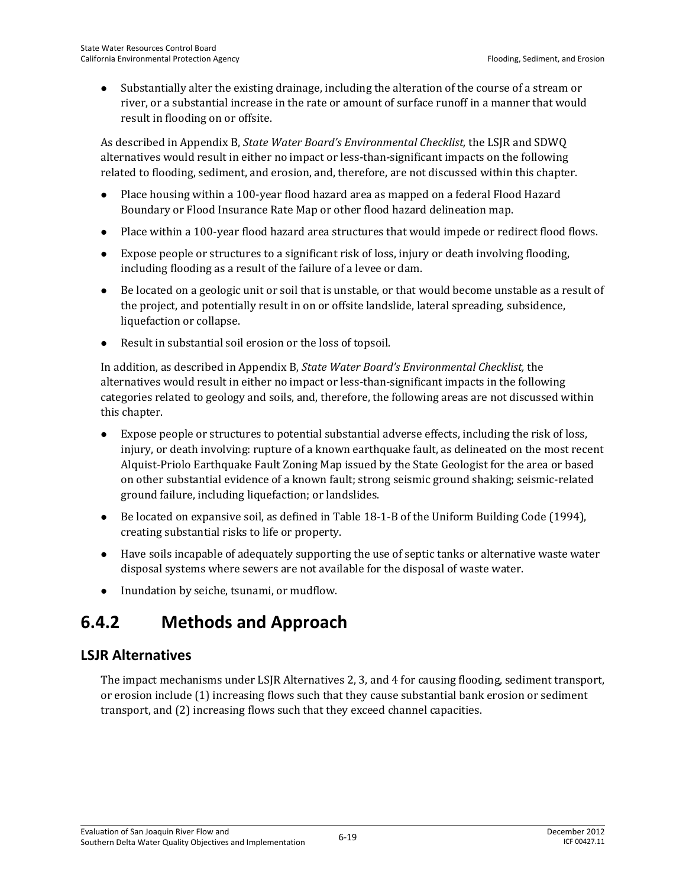Substantially alter the existing drainage, including the alteration of the course of a stream or river, or a substantial increase in the rate or amount of surface runoff in a manner that would result in flooding on or offsite.

As described in Appendix B, *State Water Board's Environmental Checklist,* the LSJR and SDWQ alternatives would result in either no impact or less-than-significant impacts on the following related to flooding, sediment, and erosion, and, therefore, are not discussed within this chapter.

- Place housing within a 100-year flood hazard area as mapped on a federal Flood Hazard Boundary or Flood Insurance Rate Map or other flood hazard delineation map.
- Place within a 100-year flood hazard area structures that would impede or redirect flood flows.
- Expose people or structures to a significant risk of loss, injury or death involving flooding, including flooding as a result of the failure of a levee or dam.
- Be located on a geologic unit or soil that is unstable, or that would become unstable as a result of the project, and potentially result in on or offsite landslide, lateral spreading, subsidence, liquefaction or collapse.
- Result in substantial soil erosion or the loss of topsoil.

In addition, as described in Appendix B, *State Water Board's Environmental Checklist,* the alternatives would result in either no impact or less-than-significant impacts in the following categories related to geology and soils, and, therefore, the following areas are not discussed within this chapter.

- Expose people or structures to potential substantial adverse effects, including the risk of loss, injury, or death involving: rupture of a known earthquake fault, as delineated on the most recent Alquist-Priolo Earthquake Fault Zoning Map issued by the State Geologist for the area or based on other substantial evidence of a known fault; strong seismic ground shaking; seismic-related ground failure, including liquefaction; or landslides.
- Be located on expansive soil, as defined in Table 18-1-B of the Uniform Building Code (1994), creating substantial risks to life or property.
- Have soils incapable of adequately supporting the use of septic tanks or alternative waste water disposal systems where sewers are not available for the disposal of waste water.
- Inundation by seiche, tsunami, or mudflow.

## **6.4.2 Methods and Approach**

## **LSJR Alternatives**

The impact mechanisms under LSJR Alternatives 2, 3, and 4 for causing flooding, sediment transport, or erosion include (1) increasing flows such that they cause substantial bank erosion or sediment transport, and (2) increasing flows such that they exceed channel capacities.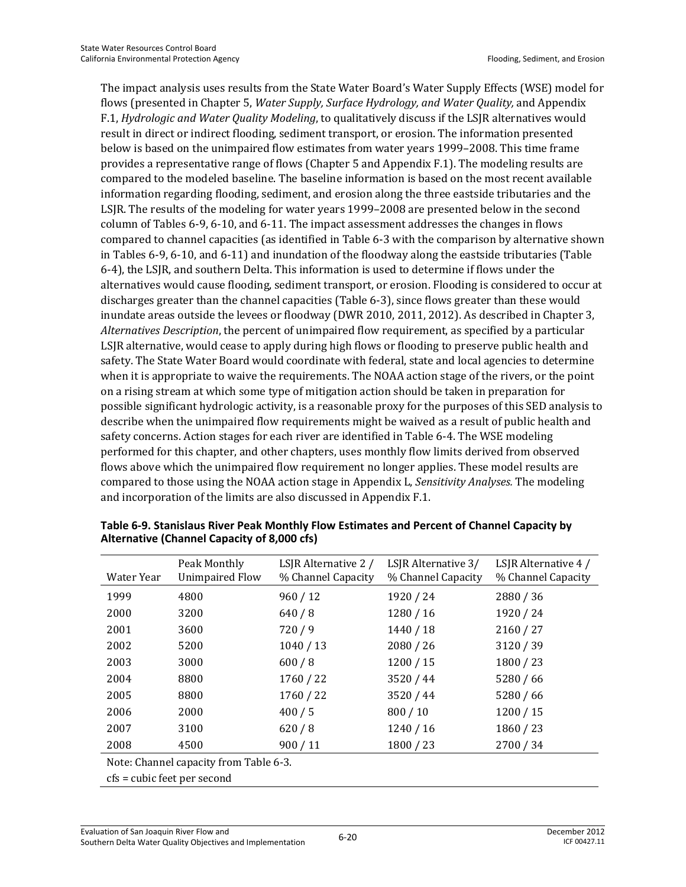The impact analysis uses results from the State Water Board's Water Supply Effects (WSE) model for flows (presented in Chapter 5, *Water Supply, Surface Hydrology, and Water Quality,* and Appendix F.1, *Hydrologic and Water Quality Modeling*, to qualitatively discuss if the LSJR alternatives would result in direct or indirect flooding, sediment transport, or erosion. The information presented below is based on the unimpaired flow estimates from water years 1999–2008. This time frame provides a representative range of flows (Chapter 5 and Appendix F.1). The modeling results are compared to the modeled baseline. The baseline information is based on the most recent available information regarding flooding, sediment, and erosion along the three eastside tributaries and the LSJR. The results of the modeling for water years 1999–2008 are presented below in the second column of Tables 6-9, 6-10, and 6-11. The impact assessment addresses the changes in flows compared to channel capacities (as identified in Table 6-3 with the comparison by alternative shown in Tables 6-9, 6-10, and 6-11) and inundation of the floodway along the eastside tributaries (Table 6-4), the LSJR, and southern Delta. This information is used to determine if flows under the alternatives would cause flooding, sediment transport, or erosion. Flooding is considered to occur at discharges greater than the channel capacities (Table 6-3), since flows greater than these would inundate areas outside the levees or floodway (DWR 2010, 2011, 2012). As described in Chapter 3, *Alternatives Description*, the percent of unimpaired flow requirement, as specified by a particular LSJR alternative, would cease to apply during high flows or flooding to preserve public health and safety. The State Water Board would coordinate with federal, state and local agencies to determine when it is appropriate to waive the requirements. The NOAA action stage of the rivers, or the point on a rising stream at which some type of mitigation action should be taken in preparation for possible significant hydrologic activity, is a reasonable proxy for the purposes of this SED analysis to describe when the unimpaired flow requirements might be waived as a result of public health and safety concerns. Action stages for each river are identified in Table 6-4. The WSE modeling performed for this chapter, and other chapters, uses monthly flow limits derived from observed flows above which the unimpaired flow requirement no longer applies. These model results are compared to those using the NOAA action stage in Appendix L, *Sensitivity Analyses.* The modeling and incorporation of the limits are also discussed in Appendix F.1.

| Water Year | Peak Monthly<br><b>Unimpaired Flow</b> | LSJR Alternative 2 /<br>% Channel Capacity | LSJR Alternative 3/<br>% Channel Capacity | LSJR Alternative 4 /<br>% Channel Capacity |
|------------|----------------------------------------|--------------------------------------------|-------------------------------------------|--------------------------------------------|
| 1999       | 4800                                   | 960 / 12                                   | 1920 / 24                                 | 2880/36                                    |
| 2000       | 3200                                   | 640/8                                      | 1280/16                                   | 1920 / 24                                  |
| 2001       | 3600                                   | 720/9                                      | 1440/18                                   | 2160 / 27                                  |
| 2002       | 5200                                   | 1040 / 13                                  | 2080/26                                   | 3120 / 39                                  |
| 2003       | 3000                                   | 600/8                                      | 1200/15                                   | 1800/23                                    |
| 2004       | 8800                                   | 1760 / 22                                  | 3520 / 44                                 | 5280/66                                    |
| 2005       | 8800                                   | 1760 / 22                                  | 3520 / 44                                 | 5280/66                                    |
| 2006       | 2000                                   | 400/5                                      | 800 / 10                                  | 1200/15                                    |
| 2007       | 3100                                   | 620/8                                      | 1240/16                                   | 1860/23                                    |
| 2008       | 4500                                   | 900 / 11                                   | 1800 / 23                                 | 2700 / 34                                  |

**Table 6-9. Stanislaus River Peak Monthly Flow Estimates and Percent of Channel Capacity by Alternative (Channel Capacity of 8,000 cfs)** 

Note: Channel capacity from Table 6-3.

cfs = cubic feet per second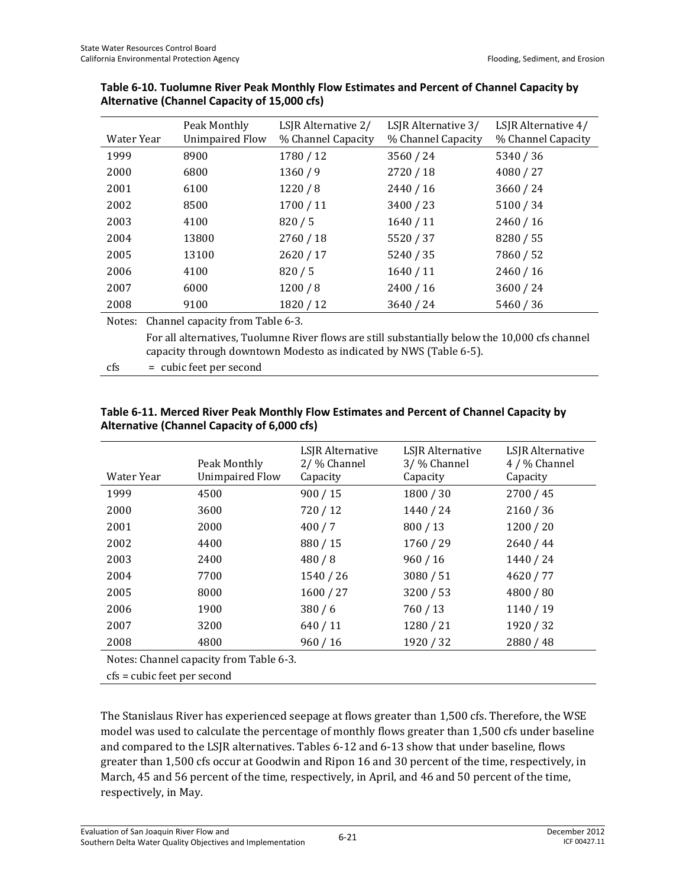| Water Year | Peak Monthly<br><b>Unimpaired Flow</b> | LSJR Alternative 2/<br>% Channel Capacity | LSJR Alternative 3/<br>% Channel Capacity | LSJR Alternative 4/<br>% Channel Capacity |
|------------|----------------------------------------|-------------------------------------------|-------------------------------------------|-------------------------------------------|
| 1999       | 8900                                   | 1780 / 12                                 | 3560/24                                   | 5340 / 36                                 |
| 2000       | 6800                                   | 1360/9                                    | 2720 / 18                                 | 4080 / 27                                 |
| 2001       | 6100                                   | 1220/8                                    | 2440 / 16                                 | 3660 / 24                                 |
| 2002       | 8500                                   | 1700/11                                   | 3400 / 23                                 | 5100 / 34                                 |
| 2003       | 4100                                   | 820/5                                     | 1640/11                                   | 2460/16                                   |
| 2004       | 13800                                  | 2760 / 18                                 | 5520 / 37                                 | 8280 / 55                                 |
| 2005       | 13100                                  | 2620/17                                   | 5240 / 35                                 | 7860 / 52                                 |
| 2006       | 4100                                   | 820/5                                     | 1640/11                                   | 2460 / 16                                 |
| 2007       | 6000                                   | 1200/8                                    | 2400 / 16                                 | 3600 / 24                                 |
| 2008       | 9100                                   | 1820 / 12                                 | 3640 / 24                                 | 5460 / 36                                 |
| Notes:     | Channel capacity from Table 6-3.       |                                           |                                           |                                           |

#### **Table 6-10. Tuolumne River Peak Monthly Flow Estimates and Percent of Channel Capacity by Alternative (Channel Capacity of 15,000 cfs)**

 For all alternatives, Tuolumne River flows are still substantially below the 10,000 cfs channel capacity through downtown Modesto as indicated by NWS (Table 6-5).

cfs = cubic feet per second

#### **Table 6-11. Merced River Peak Monthly Flow Estimates and Percent of Channel Capacity by Alternative (Channel Capacity of 6,000 cfs)**

| Water Year                              | Peak Monthly<br><b>Unimpaired Flow</b> | LSJR Alternative<br>2/ % Channel<br>Capacity | LSJR Alternative<br>3/ % Channel<br>Capacity | LSJR Alternative<br>4 / % Channel<br>Capacity |  |  |  |  |  |
|-----------------------------------------|----------------------------------------|----------------------------------------------|----------------------------------------------|-----------------------------------------------|--|--|--|--|--|
| 1999                                    | 4500                                   | 900 / 15                                     | 1800/30                                      | 2700 / 45                                     |  |  |  |  |  |
| 2000                                    | 3600                                   | 720/12                                       | 1440 / 24                                    | 2160 / 36                                     |  |  |  |  |  |
| 2001                                    | 2000                                   | 400/7                                        | 800/13                                       | 1200 / 20                                     |  |  |  |  |  |
| 2002                                    | 4400                                   | 880 / 15                                     | 1760 / 29                                    | 2640 / 44                                     |  |  |  |  |  |
| 2003                                    | 2400                                   | 480/8                                        | 960/16                                       | 1440 / 24                                     |  |  |  |  |  |
| 2004                                    | 7700                                   | 1540 / 26                                    | 3080/51                                      | 4620 / 77                                     |  |  |  |  |  |
| 2005                                    | 8000                                   | 1600 / 27                                    | 3200 / 53                                    | 4800 / 80                                     |  |  |  |  |  |
| 2006                                    | 1900                                   | 380/6                                        | 760/13                                       | 1140 / 19                                     |  |  |  |  |  |
| 2007                                    | 3200                                   | 640/11                                       | 1280 / 21                                    | 1920 / 32                                     |  |  |  |  |  |
| 2008                                    | 4800                                   | 960/16                                       | 1920 / 32                                    | 2880 / 48                                     |  |  |  |  |  |
| Notes: Channel capacity from Table 6-3. |                                        |                                              |                                              |                                               |  |  |  |  |  |
| cfs = cubic feet per second             |                                        |                                              |                                              |                                               |  |  |  |  |  |

The Stanislaus River has experienced seepage at flows greater than 1,500 cfs. Therefore, the WSE model was used to calculate the percentage of monthly flows greater than 1,500 cfs under baseline and compared to the LSJR alternatives. Tables 6-12 and 6-13 show that under baseline, flows greater than 1,500 cfs occur at Goodwin and Ripon 16 and 30 percent of the time, respectively, in March, 45 and 56 percent of the time, respectively, in April, and 46 and 50 percent of the time, respectively, in May.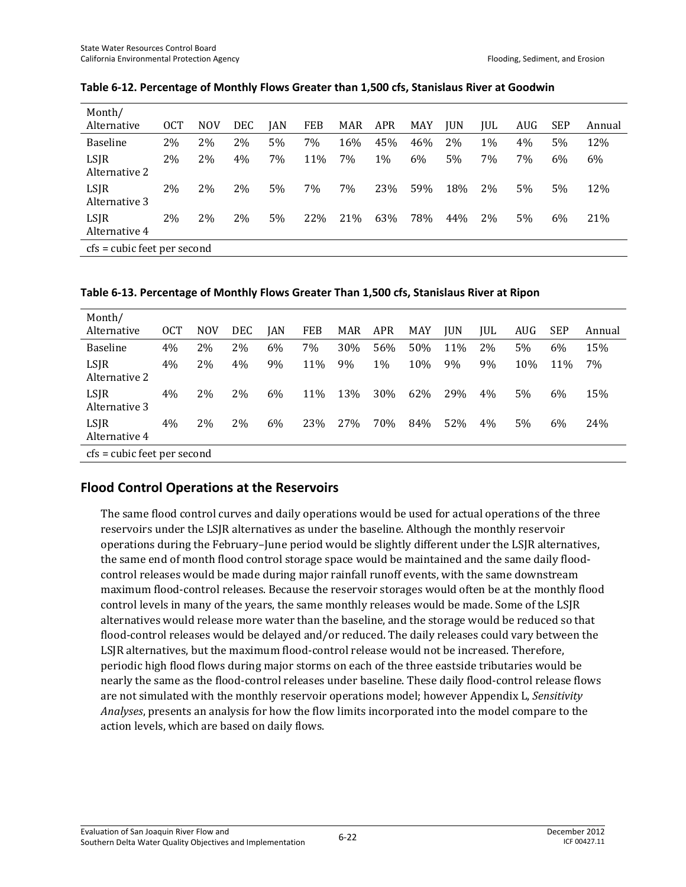| Month/<br>Alternative       | <b>OCT</b> | <b>NOV</b> | DEC | JAN | <b>FEB</b> | MAR | <b>APR</b> | MAY | <b>JUN</b> | JUL | AUG | <b>SEP</b> | Annual |
|-----------------------------|------------|------------|-----|-----|------------|-----|------------|-----|------------|-----|-----|------------|--------|
| <b>Baseline</b>             | 2%         | 2%         | 2%  | 5%  | 7%         | 16% | 45%        | 46% | 2%         | 1%  | 4%  | 5%         | 12%    |
| LSJR<br>Alternative 2       | 2%         | 2%         | 4%  | 7%  | 11%        | 7%  | 1%         | 6%  | 5%         | 7%  | 7%  | 6%         | 6%     |
| LSJR<br>Alternative 3       | 2%         | 2%         | 2%  | 5%  | 7%         | 7%  | 23%        | 59% | 18%        | 2%  | 5%  | 5%         | 12%    |
| LSJR<br>Alternative 4       | 2%         | 2%         | 2%  | 5%  | 22%        | 21% | 63%        | 78% | 44%        | 2%  | 5%  | 6%         | 21%    |
| cfs = cubic feet per second |            |            |     |     |            |     |            |     |            |     |     |            |        |

#### **Table 6-12. Percentage of Monthly Flows Greater than 1,500 cfs, Stanislaus River at Goodwin**

**Table 6-13. Percentage of Monthly Flows Greater Than 1,500 cfs, Stanislaus River at Ripon** 

| Month/<br>Alternative       | <b>OCT</b> | <b>NOV</b> | DEC | IAN | <b>FEB</b> | MAR | <b>APR</b> | MAY | <b>IUN</b> | IUL | AUG | <b>SEP</b> | Annual |
|-----------------------------|------------|------------|-----|-----|------------|-----|------------|-----|------------|-----|-----|------------|--------|
| <b>Baseline</b>             | 4%         | 2%         | 2%  | 6%  | 7%         | 30% | 56%        | 50% | 11%        | 2%  | 5%  | 6%         | 15%    |
| LSJR<br>Alternative 2       | 4%         | 2%         | 4%  | 9%  | 11%        | 9%  | 1%         | 10% | 9%         | 9%  | 10% | 11%        | 7%     |
| LSJR<br>Alternative 3       | 4%         | 2%         | 2%  | 6%  | 11%        | 13% | 30%        | 62% | 29%        | 4%  | 5%  | 6%         | 15%    |
| LSJR<br>Alternative 4       | 4%         | 2%         | 2%  | 6%  | 23%        | 27% | 70%        | 84% | 52%        | 4%  | 5%  | 6%         | 24%    |
| cfs = cubic feet per second |            |            |     |     |            |     |            |     |            |     |     |            |        |

### **Flood Control Operations at the Reservoirs**

The same flood control curves and daily operations would be used for actual operations of the three reservoirs under the LSJR alternatives as under the baseline. Although the monthly reservoir operations during the February–June period would be slightly different under the LSJR alternatives, the same end of month flood control storage space would be maintained and the same daily floodcontrol releases would be made during major rainfall runoff events, with the same downstream maximum flood-control releases. Because the reservoir storages would often be at the monthly flood control levels in many of the years, the same monthly releases would be made. Some of the LSJR alternatives would release more water than the baseline, and the storage would be reduced so that flood-control releases would be delayed and/or reduced. The daily releases could vary between the LSJR alternatives, but the maximum flood-control release would not be increased. Therefore, periodic high flood flows during major storms on each of the three eastside tributaries would be nearly the same as the flood-control releases under baseline. These daily flood-control release flows are not simulated with the monthly reservoir operations model; however Appendix L, *Sensitivity Analyses*, presents an analysis for how the flow limits incorporated into the model compare to the action levels, which are based on daily flows.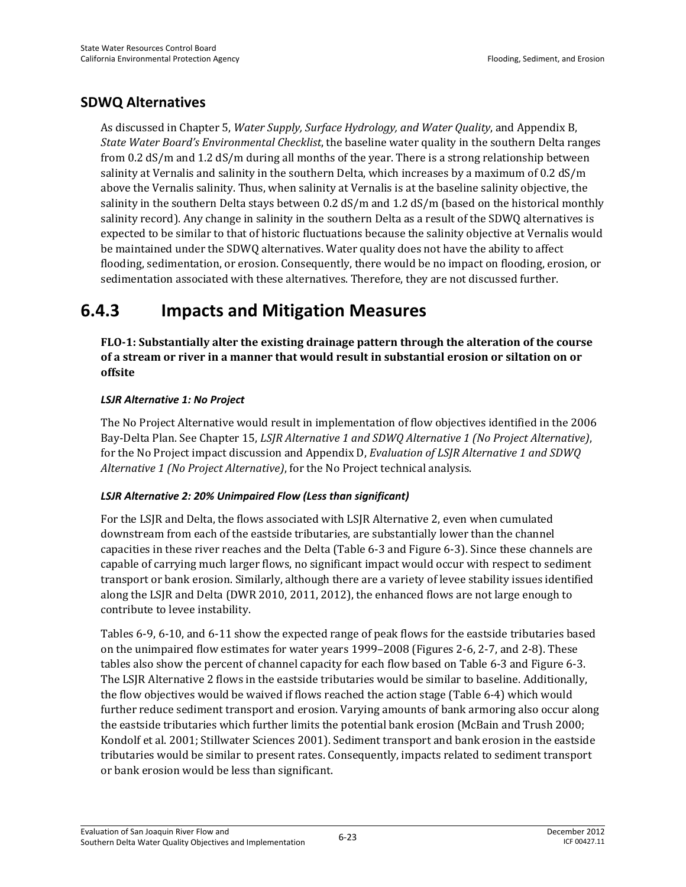### **SDWQ Alternatives**

As discussed in Chapter 5, *Water Supply, Surface Hydrology, and Water Quality*, and Appendix B, *State Water Board's Environmental Checklist*, the baseline water quality in the southern Delta ranges from 0.2 dS/m and 1.2 dS/m during all months of the year. There is a strong relationship between salinity at Vernalis and salinity in the southern Delta, which increases by a maximum of 0.2 dS/m above the Vernalis salinity. Thus, when salinity at Vernalis is at the baseline salinity objective, the salinity in the southern Delta stays between 0.2 dS/m and 1.2 dS/m (based on the historical monthly salinity record). Any change in salinity in the southern Delta as a result of the SDWQ alternatives is expected to be similar to that of historic fluctuations because the salinity objective at Vernalis would be maintained under the SDWQ alternatives. Water quality does not have the ability to affect flooding, sedimentation, or erosion. Consequently, there would be no impact on flooding, erosion, or sedimentation associated with these alternatives. Therefore, they are not discussed further.

## **6.4.3 Impacts and Mitigation Measures**

**FLO-1: Substantially alter the existing drainage pattern through the alteration of the course of a stream or river in a manner that would result in substantial erosion or siltation on or offsite** 

### *LSJR Alternative 1: No Project*

The No Project Alternative would result in implementation of flow objectives identified in the 2006 Bay-Delta Plan. See Chapter 15, *LSJR Alternative 1 and SDWQ Alternative 1 (No Project Alternative)*, for the No Project impact discussion and Appendix D, *Evaluation of LSJR Alternative 1 and SDWQ Alternative 1 (No Project Alternative)*, for the No Project technical analysis.

#### *LSJR Alternative 2: 20% Unimpaired Flow (Less than significant)*

For the LSJR and Delta, the flows associated with LSJR Alternative 2, even when cumulated downstream from each of the eastside tributaries, are substantially lower than the channel capacities in these river reaches and the Delta (Table 6-3 and Figure 6-3). Since these channels are capable of carrying much larger flows, no significant impact would occur with respect to sediment transport or bank erosion. Similarly, although there are a variety of levee stability issues identified along the LSJR and Delta (DWR 2010, 2011, 2012), the enhanced flows are not large enough to contribute to levee instability.

Tables 6-9, 6-10, and 6-11 show the expected range of peak flows for the eastside tributaries based on the unimpaired flow estimates for water years 1999–2008 (Figures 2-6, 2-7, and 2-8). These tables also show the percent of channel capacity for each flow based on Table 6-3 and Figure 6-3. The LSJR Alternative 2 flows in the eastside tributaries would be similar to baseline. Additionally, the flow objectives would be waived if flows reached the action stage (Table 6-4) which would further reduce sediment transport and erosion. Varying amounts of bank armoring also occur along the eastside tributaries which further limits the potential bank erosion (McBain and Trush 2000; Kondolf et al. 2001; Stillwater Sciences 2001). Sediment transport and bank erosion in the eastside tributaries would be similar to present rates. Consequently, impacts related to sediment transport or bank erosion would be less than significant.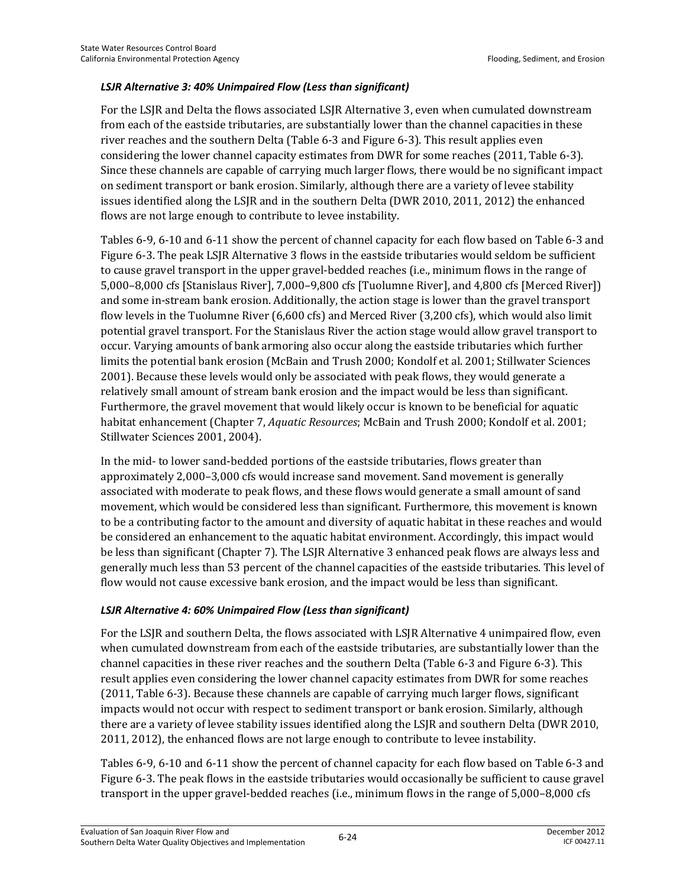#### *LSJR Alternative 3: 40% Unimpaired Flow (Less than significant)*

For the LSJR and Delta the flows associated LSJR Alternative 3, even when cumulated downstream from each of the eastside tributaries, are substantially lower than the channel capacities in these river reaches and the southern Delta (Table 6-3 and Figure 6-3). This result applies even considering the lower channel capacity estimates from DWR for some reaches (2011, Table 6-3). Since these channels are capable of carrying much larger flows, there would be no significant impact on sediment transport or bank erosion. Similarly, although there are a variety of levee stability issues identified along the LSJR and in the southern Delta (DWR 2010, 2011, 2012) the enhanced flows are not large enough to contribute to levee instability.

Tables 6-9, 6-10 and 6-11 show the percent of channel capacity for each flow based on Table 6-3 and Figure 6-3. The peak LSJR Alternative 3 flows in the eastside tributaries would seldom be sufficient to cause gravel transport in the upper gravel-bedded reaches (i.e., minimum flows in the range of 5,000–8,000 cfs [Stanislaus River], 7,000–9,800 cfs [Tuolumne River], and 4,800 cfs [Merced River]) and some in-stream bank erosion. Additionally, the action stage is lower than the gravel transport flow levels in the Tuolumne River (6,600 cfs) and Merced River (3,200 cfs), which would also limit potential gravel transport. For the Stanislaus River the action stage would allow gravel transport to occur. Varying amounts of bank armoring also occur along the eastside tributaries which further limits the potential bank erosion (McBain and Trush 2000; Kondolf et al. 2001; Stillwater Sciences 2001). Because these levels would only be associated with peak flows, they would generate a relatively small amount of stream bank erosion and the impact would be less than significant. Furthermore, the gravel movement that would likely occur is known to be beneficial for aquatic habitat enhancement (Chapter 7, *Aquatic Resources*; McBain and Trush 2000; Kondolf et al. 2001; Stillwater Sciences 2001, 2004).

In the mid- to lower sand-bedded portions of the eastside tributaries, flows greater than approximately 2,000–3,000 cfs would increase sand movement. Sand movement is generally associated with moderate to peak flows, and these flows would generate a small amount of sand movement, which would be considered less than significant. Furthermore, this movement is known to be a contributing factor to the amount and diversity of aquatic habitat in these reaches and would be considered an enhancement to the aquatic habitat environment. Accordingly, this impact would be less than significant (Chapter 7). The LSJR Alternative 3 enhanced peak flows are always less and generally much less than 53 percent of the channel capacities of the eastside tributaries. This level of flow would not cause excessive bank erosion, and the impact would be less than significant.

#### *LSJR Alternative 4: 60% Unimpaired Flow (Less than significant)*

For the LSJR and southern Delta, the flows associated with LSJR Alternative 4 unimpaired flow, even when cumulated downstream from each of the eastside tributaries, are substantially lower than the channel capacities in these river reaches and the southern Delta (Table 6-3 and Figure 6-3). This result applies even considering the lower channel capacity estimates from DWR for some reaches (2011, Table 6-3). Because these channels are capable of carrying much larger flows, significant impacts would not occur with respect to sediment transport or bank erosion. Similarly, although there are a variety of levee stability issues identified along the LSJR and southern Delta (DWR 2010, 2011, 2012), the enhanced flows are not large enough to contribute to levee instability.

Tables 6-9, 6-10 and 6-11 show the percent of channel capacity for each flow based on Table 6-3 and Figure 6-3. The peak flows in the eastside tributaries would occasionally be sufficient to cause gravel transport in the upper gravel-bedded reaches (i.e., minimum flows in the range of 5,000–8,000 cfs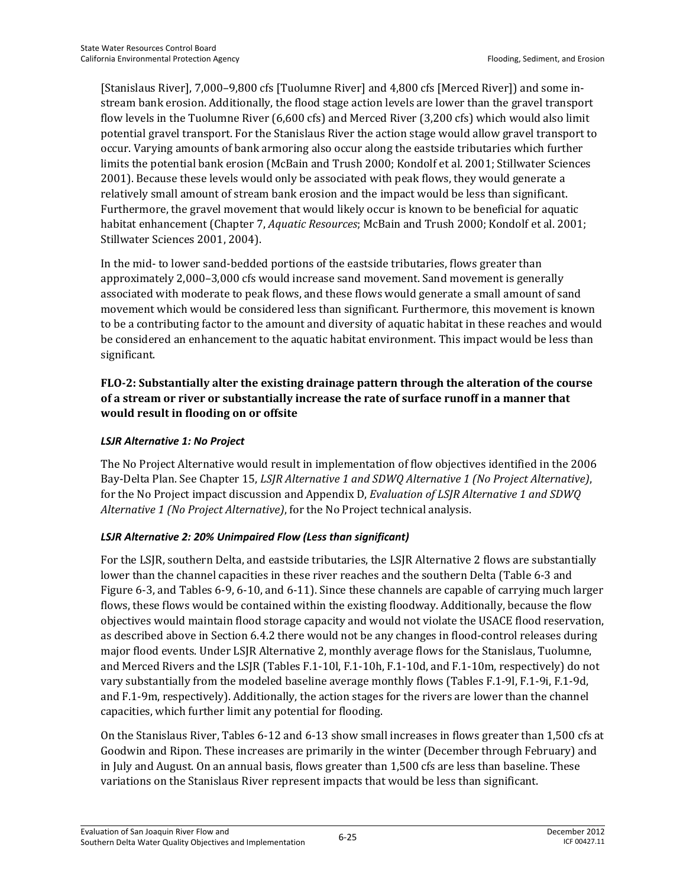[Stanislaus River], 7,000–9,800 cfs [Tuolumne River] and 4,800 cfs [Merced River]) and some instream bank erosion. Additionally, the flood stage action levels are lower than the gravel transport flow levels in the Tuolumne River (6,600 cfs) and Merced River (3,200 cfs) which would also limit potential gravel transport. For the Stanislaus River the action stage would allow gravel transport to occur. Varying amounts of bank armoring also occur along the eastside tributaries which further limits the potential bank erosion (McBain and Trush 2000; Kondolf et al. 2001; Stillwater Sciences 2001). Because these levels would only be associated with peak flows, they would generate a relatively small amount of stream bank erosion and the impact would be less than significant. Furthermore, the gravel movement that would likely occur is known to be beneficial for aquatic habitat enhancement (Chapter 7, *Aquatic Resources*; McBain and Trush 2000; Kondolf et al. 2001; Stillwater Sciences 2001, 2004).

In the mid- to lower sand-bedded portions of the eastside tributaries, flows greater than approximately 2,000–3,000 cfs would increase sand movement. Sand movement is generally associated with moderate to peak flows, and these flows would generate a small amount of sand movement which would be considered less than significant. Furthermore, this movement is known to be a contributing factor to the amount and diversity of aquatic habitat in these reaches and would be considered an enhancement to the aquatic habitat environment. This impact would be less than significant.

### **FLO-2: Substantially alter the existing drainage pattern through the alteration of the course of a stream or river or substantially increase the rate of surface runoff in a manner that would result in flooding on or offsite**

### *LSJR Alternative 1: No Project*

The No Project Alternative would result in implementation of flow objectives identified in the 2006 Bay-Delta Plan. See Chapter 15, *LSJR Alternative 1 and SDWQ Alternative 1 (No Project Alternative)*, for the No Project impact discussion and Appendix D, *Evaluation of LSJR Alternative 1 and SDWQ Alternative 1 (No Project Alternative)*, for the No Project technical analysis.

#### *LSJR Alternative 2: 20% Unimpaired Flow (Less than significant)*

For the LSJR, southern Delta, and eastside tributaries, the LSJR Alternative 2 flows are substantially lower than the channel capacities in these river reaches and the southern Delta (Table 6-3 and Figure 6-3, and Tables 6-9, 6-10, and 6-11). Since these channels are capable of carrying much larger flows, these flows would be contained within the existing floodway. Additionally, because the flow objectives would maintain flood storage capacity and would not violate the USACE flood reservation, as described above in Section 6.4.2 there would not be any changes in flood-control releases during major flood events. Under LSJR Alternative 2, monthly average flows for the Stanislaus, Tuolumne, and Merced Rivers and the LSJR (Tables F.1-10l, F.1-10h, F.1-10d, and F.1-10m, respectively) do not vary substantially from the modeled baseline average monthly flows (Tables F.1-9l, F.1-9i, F.1-9d, and F.1-9m, respectively). Additionally, the action stages for the rivers are lower than the channel capacities, which further limit any potential for flooding.

On the Stanislaus River, Tables 6-12 and 6-13 show small increases in flows greater than 1,500 cfs at Goodwin and Ripon. These increases are primarily in the winter (December through February) and in July and August. On an annual basis, flows greater than 1,500 cfs are less than baseline. These variations on the Stanislaus River represent impacts that would be less than significant.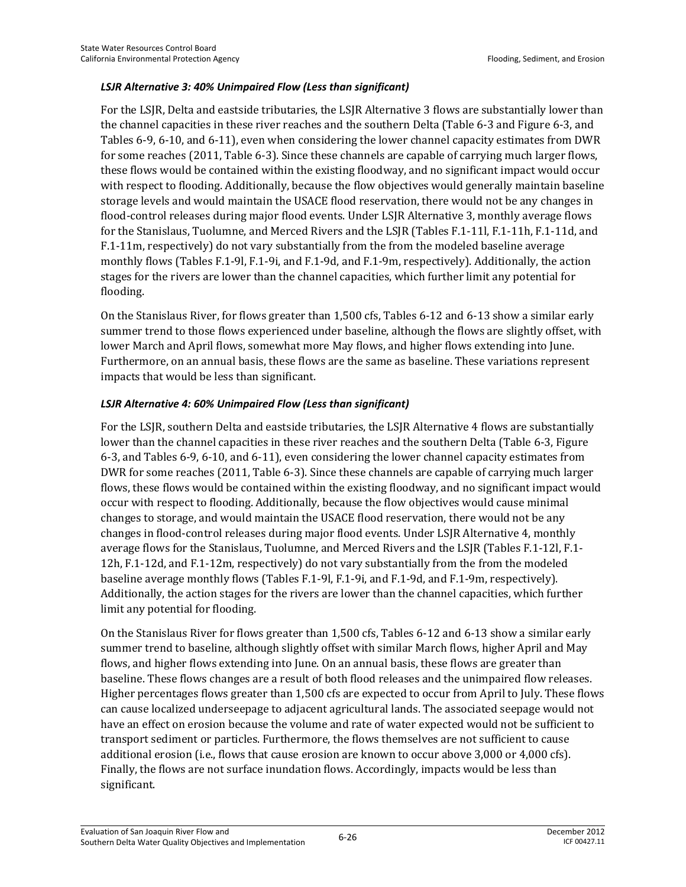#### *LSJR Alternative 3: 40% Unimpaired Flow (Less than significant)*

For the LSJR, Delta and eastside tributaries, the LSJR Alternative 3 flows are substantially lower than the channel capacities in these river reaches and the southern Delta (Table 6-3 and Figure 6-3, and Tables 6-9, 6-10, and 6-11), even when considering the lower channel capacity estimates from DWR for some reaches (2011, Table 6-3). Since these channels are capable of carrying much larger flows, these flows would be contained within the existing floodway, and no significant impact would occur with respect to flooding. Additionally, because the flow objectives would generally maintain baseline storage levels and would maintain the USACE flood reservation, there would not be any changes in flood-control releases during major flood events. Under LSJR Alternative 3, monthly average flows for the Stanislaus, Tuolumne, and Merced Rivers and the LSJR (Tables F.1-11l, F.1-11h, F.1-11d, and F.1-11m, respectively) do not vary substantially from the from the modeled baseline average monthly flows (Tables F.1-9l, F.1-9i, and F.1-9d, and F.1-9m, respectively). Additionally, the action stages for the rivers are lower than the channel capacities, which further limit any potential for flooding.

On the Stanislaus River, for flows greater than 1,500 cfs, Tables 6-12 and 6-13 show a similar early summer trend to those flows experienced under baseline, although the flows are slightly offset, with lower March and April flows, somewhat more May flows, and higher flows extending into June. Furthermore, on an annual basis, these flows are the same as baseline. These variations represent impacts that would be less than significant.

#### *LSJR Alternative 4: 60% Unimpaired Flow (Less than significant)*

For the LSJR, southern Delta and eastside tributaries, the LSJR Alternative 4 flows are substantially lower than the channel capacities in these river reaches and the southern Delta (Table 6-3, Figure 6-3, and Tables 6-9, 6-10, and 6-11), even considering the lower channel capacity estimates from DWR for some reaches (2011, Table 6-3). Since these channels are capable of carrying much larger flows, these flows would be contained within the existing floodway, and no significant impact would occur with respect to flooding. Additionally, because the flow objectives would cause minimal changes to storage, and would maintain the USACE flood reservation, there would not be any changes in flood-control releases during major flood events. Under LSJR Alternative 4, monthly average flows for the Stanislaus, Tuolumne, and Merced Rivers and the LSJR (Tables F.1-12l, F.1- 12h, F.1-12d, and F.1-12m, respectively) do not vary substantially from the from the modeled baseline average monthly flows (Tables F.1-9l, F.1-9i, and F.1-9d, and F.1-9m, respectively). Additionally, the action stages for the rivers are lower than the channel capacities, which further limit any potential for flooding.

On the Stanislaus River for flows greater than 1,500 cfs, Tables 6-12 and 6-13 show a similar early summer trend to baseline, although slightly offset with similar March flows, higher April and May flows, and higher flows extending into June. On an annual basis, these flows are greater than baseline. These flows changes are a result of both flood releases and the unimpaired flow releases. Higher percentages flows greater than 1,500 cfs are expected to occur from April to July. These flows can cause localized underseepage to adjacent agricultural lands. The associated seepage would not have an effect on erosion because the volume and rate of water expected would not be sufficient to transport sediment or particles. Furthermore, the flows themselves are not sufficient to cause additional erosion (i.e., flows that cause erosion are known to occur above 3,000 or 4,000 cfs). Finally, the flows are not surface inundation flows. Accordingly, impacts would be less than significant.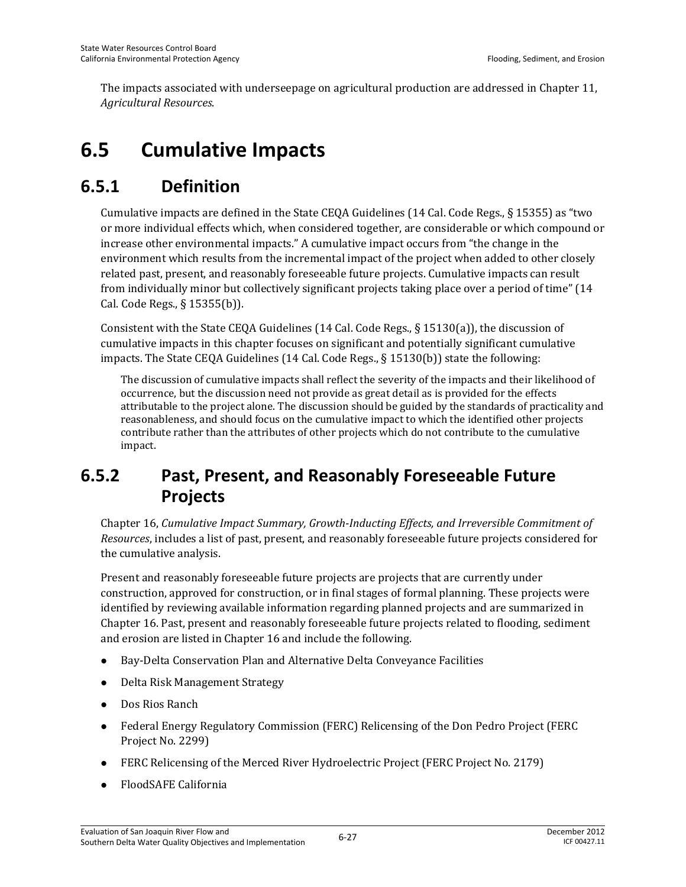The impacts associated with underseepage on agricultural production are addressed in Chapter 11, *Agricultural Resources*.

# **6.5 Cumulative Impacts**

## **6.5.1 Definition**

Cumulative impacts are defined in the State CEQA Guidelines (14 Cal. Code Regs., § 15355) as "two or more individual effects which, when considered together, are considerable or which compound or increase other environmental impacts." A cumulative impact occurs from "the change in the environment which results from the incremental impact of the project when added to other closely related past, present, and reasonably foreseeable future projects. Cumulative impacts can result from individually minor but collectively significant projects taking place over a period of time" (14 Cal. Code Regs., § 15355(b)).

Consistent with the State CEQA Guidelines (14 Cal. Code Regs., § 15130(a)), the discussion of cumulative impacts in this chapter focuses on significant and potentially significant cumulative impacts. The State CEQA Guidelines (14 Cal. Code Regs., § 15130(b)) state the following:

The discussion of cumulative impacts shall reflect the severity of the impacts and their likelihood of occurrence, but the discussion need not provide as great detail as is provided for the effects attributable to the project alone. The discussion should be guided by the standards of practicality and reasonableness, and should focus on the cumulative impact to which the identified other projects contribute rather than the attributes of other projects which do not contribute to the cumulative impact.

## **6.5.2 Past, Present, and Reasonably Foreseeable Future Projects**

Chapter 16, *Cumulative Impact Summary, Growth-Inducting Effects, and Irreversible Commitment of Resources*, includes a list of past, present, and reasonably foreseeable future projects considered for the cumulative analysis.

Present and reasonably foreseeable future projects are projects that are currently under construction, approved for construction, or in final stages of formal planning. These projects were identified by reviewing available information regarding planned projects and are summarized in Chapter 16. Past, present and reasonably foreseeable future projects related to flooding, sediment and erosion are listed in Chapter 16 and include the following.

- Bay-Delta Conservation Plan and Alternative Delta Conveyance Facilities
- Delta Risk Management Strategy
- Dos Rios Ranch
- Federal Energy Regulatory Commission (FERC) Relicensing of the Don Pedro Project (FERC Project No. 2299)
- FERC Relicensing of the Merced River Hydroelectric Project (FERC Project No. 2179)
- FloodSAFE California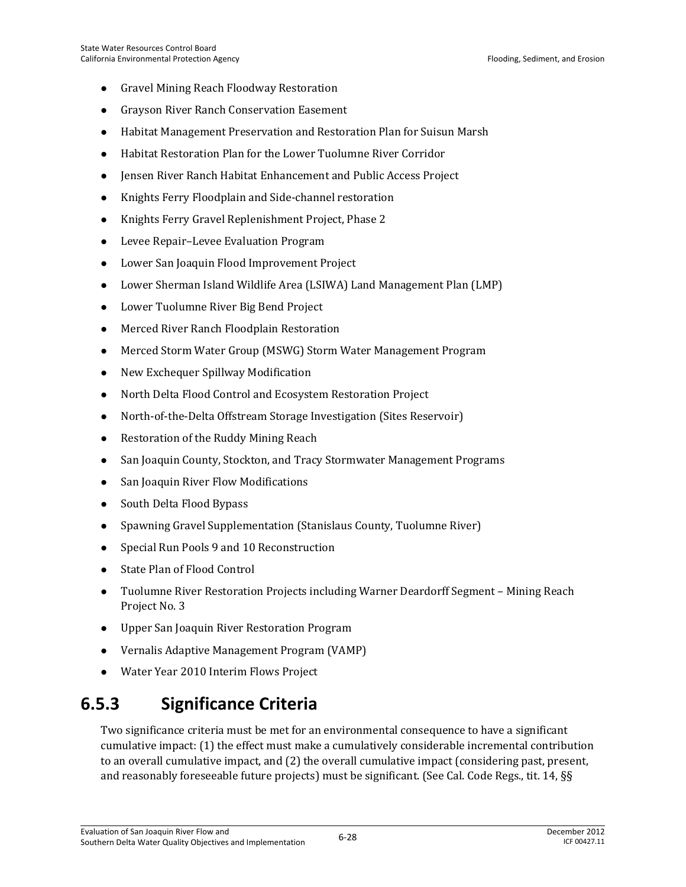- Gravel Mining Reach Floodway Restoration
- Grayson River Ranch Conservation Easement
- Habitat Management Preservation and Restoration Plan for Suisun Marsh
- Habitat Restoration Plan for the Lower Tuolumne River Corridor
- Jensen River Ranch Habitat Enhancement and Public Access Project
- Knights Ferry Floodplain and Side-channel restoration
- Knights Ferry Gravel Replenishment Project, Phase 2
- Levee Repair–Levee Evaluation Program
- Lower San Joaquin Flood Improvement Project
- Lower Sherman Island Wildlife Area (LSIWA) Land Management Plan (LMP)
- Lower Tuolumne River Big Bend Project
- Merced River Ranch Floodplain Restoration
- Merced Storm Water Group (MSWG) Storm Water Management Program
- New Exchequer Spillway Modification
- North Delta Flood Control and Ecosystem Restoration Project
- North-of-the-Delta Offstream Storage Investigation (Sites Reservoir)
- Restoration of the Ruddy Mining Reach
- San Joaquin County, Stockton, and Tracy Stormwater Management Programs
- San Joaquin River Flow Modifications
- South Delta Flood Bypass
- Spawning Gravel Supplementation (Stanislaus County, Tuolumne River)
- Special Run Pools 9 and 10 Reconstruction
- State Plan of Flood Control
- Tuolumne River Restoration Projects including Warner Deardorff Segment Mining Reach Project No. 3
- Upper San Joaquin River Restoration Program
- Vernalis Adaptive Management Program (VAMP)
- Water Year 2010 Interim Flows Project

## **6.5.3 Significance Criteria**

Two significance criteria must be met for an environmental consequence to have a significant cumulative impact: (1) the effect must make a cumulatively considerable incremental contribution to an overall cumulative impact, and (2) the overall cumulative impact (considering past, present, and reasonably foreseeable future projects) must be significant. (See Cal. Code Regs., tit. 14, §§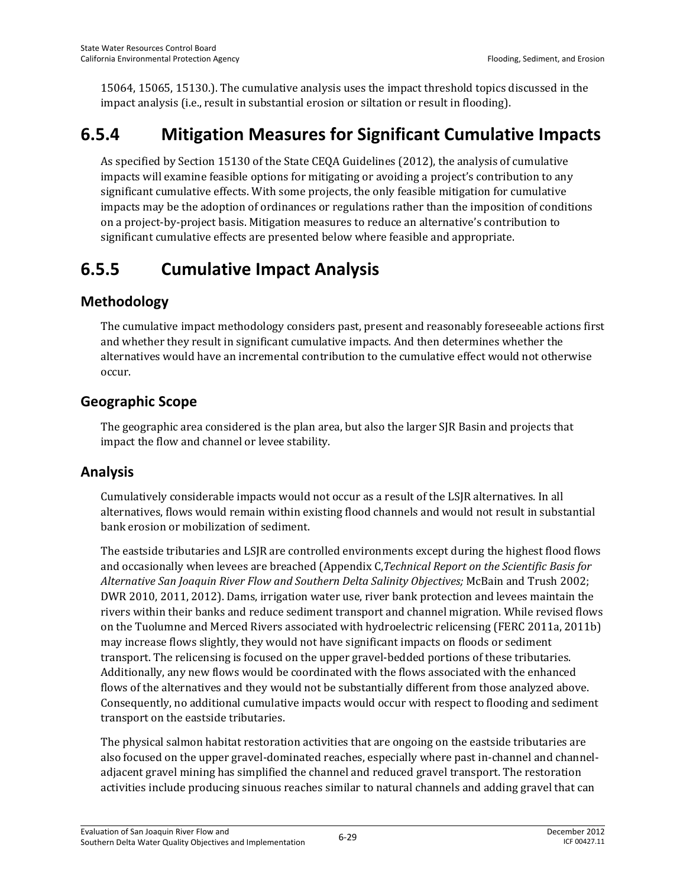15064, 15065, 15130.). The cumulative analysis uses the impact threshold topics discussed in the impact analysis (i.e., result in substantial erosion or siltation or result in flooding).

## **6.5.4 Mitigation Measures for Significant Cumulative Impacts**

As specified by Section 15130 of the State CEQA Guidelines (2012), the analysis of cumulative impacts will examine feasible options for mitigating or avoiding a project's contribution to any significant cumulative effects. With some projects, the only feasible mitigation for cumulative impacts may be the adoption of ordinances or regulations rather than the imposition of conditions on a project-by-project basis. Mitigation measures to reduce an alternative's contribution to significant cumulative effects are presented below where feasible and appropriate.

## **6.5.5 Cumulative Impact Analysis**

## **Methodology**

The cumulative impact methodology considers past, present and reasonably foreseeable actions first and whether they result in significant cumulative impacts. And then determines whether the alternatives would have an incremental contribution to the cumulative effect would not otherwise occur.

## **Geographic Scope**

The geographic area considered is the plan area, but also the larger SJR Basin and projects that impact the flow and channel or levee stability.

## **Analysis**

Cumulatively considerable impacts would not occur as a result of the LSJR alternatives. In all alternatives, flows would remain within existing flood channels and would not result in substantial bank erosion or mobilization of sediment.

The eastside tributaries and LSJR are controlled environments except during the highest flood flows and occasionally when levees are breached (Appendix C,*Technical Report on the Scientific Basis for Alternative San Joaquin River Flow and Southern Delta Salinity Objectives;* McBain and Trush 2002; DWR 2010, 2011, 2012). Dams, irrigation water use, river bank protection and levees maintain the rivers within their banks and reduce sediment transport and channel migration. While revised flows on the Tuolumne and Merced Rivers associated with hydroelectric relicensing (FERC 2011a, 2011b) may increase flows slightly, they would not have significant impacts on floods or sediment transport. The relicensing is focused on the upper gravel-bedded portions of these tributaries. Additionally, any new flows would be coordinated with the flows associated with the enhanced flows of the alternatives and they would not be substantially different from those analyzed above. Consequently, no additional cumulative impacts would occur with respect to flooding and sediment transport on the eastside tributaries.

The physical salmon habitat restoration activities that are ongoing on the eastside tributaries are also focused on the upper gravel-dominated reaches, especially where past in-channel and channeladjacent gravel mining has simplified the channel and reduced gravel transport. The restoration activities include producing sinuous reaches similar to natural channels and adding gravel that can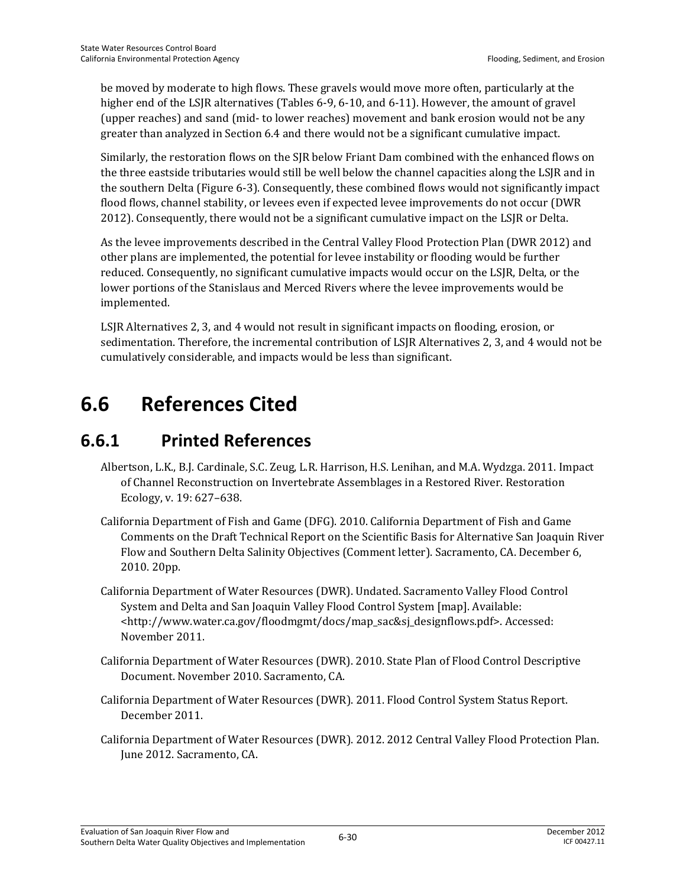be moved by moderate to high flows. These gravels would move more often, particularly at the higher end of the LSJR alternatives (Tables 6-9, 6-10, and 6-11). However, the amount of gravel (upper reaches) and sand (mid- to lower reaches) movement and bank erosion would not be any greater than analyzed in Section 6.4 and there would not be a significant cumulative impact.

Similarly, the restoration flows on the SJR below Friant Dam combined with the enhanced flows on the three eastside tributaries would still be well below the channel capacities along the LSJR and in the southern Delta (Figure 6-3). Consequently, these combined flows would not significantly impact flood flows, channel stability, or levees even if expected levee improvements do not occur (DWR 2012). Consequently, there would not be a significant cumulative impact on the LSJR or Delta.

As the levee improvements described in the Central Valley Flood Protection Plan (DWR 2012) and other plans are implemented, the potential for levee instability or flooding would be further reduced. Consequently, no significant cumulative impacts would occur on the LSJR, Delta, or the lower portions of the Stanislaus and Merced Rivers where the levee improvements would be implemented.

LSJR Alternatives 2, 3, and 4 would not result in significant impacts on flooding, erosion, or sedimentation. Therefore, the incremental contribution of LSJR Alternatives 2, 3, and 4 would not be cumulatively considerable, and impacts would be less than significant.

# **6.6 References Cited**

## **6.6.1 Printed References**

- Albertson, L.K., B.J. Cardinale, S.C. Zeug, L.R. Harrison, H.S. Lenihan, and M.A. Wydzga. 2011. Impact of Channel Reconstruction on Invertebrate Assemblages in a Restored River. Restoration Ecology, v. 19: 627–638.
- California Department of Fish and Game (DFG). 2010. California Department of Fish and Game Comments on the Draft Technical Report on the Scientific Basis for Alternative San Joaquin River Flow and Southern Delta Salinity Objectives (Comment letter). Sacramento, CA. December 6, 2010. 20pp.
- California Department of Water Resources (DWR). Undated. Sacramento Valley Flood Control System and Delta and San Joaquin Valley Flood Control System [map]. Available: <http://www.water.ca.gov/floodmgmt/docs/map\_sac&sj\_designflows.pdf>. Accessed: November 2011.
- California Department of Water Resources (DWR). 2010. State Plan of Flood Control Descriptive Document. November 2010. Sacramento, CA.
- California Department of Water Resources (DWR). 2011. Flood Control System Status Report. December 2011.
- California Department of Water Resources (DWR). 2012. 2012 Central Valley Flood Protection Plan. June 2012. Sacramento, CA.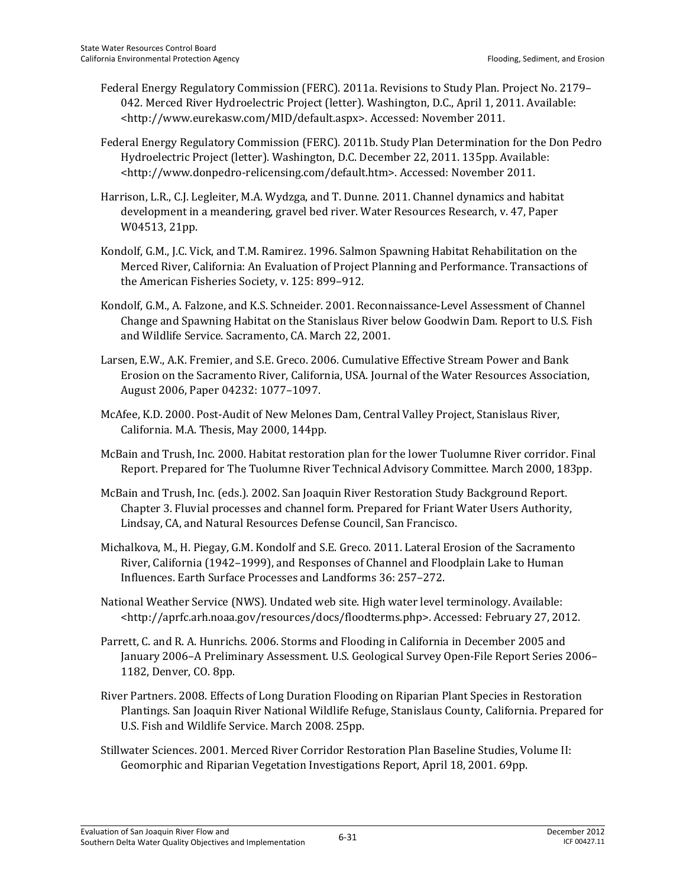- Federal Energy Regulatory Commission (FERC). 2011a. Revisions to Study Plan. Project No. 2179– 042. Merced River Hydroelectric Project (letter). Washington, D.C., April 1, 2011. Available: <http://www.eurekasw.com/MID/default.aspx>. Accessed: November 2011.
- Federal Energy Regulatory Commission (FERC). 2011b. Study Plan Determination for the Don Pedro Hydroelectric Project (letter). Washington, D.C. December 22, 2011. 135pp. Available: <http://www.donpedro-relicensing.com/default.htm>. Accessed: November 2011.
- Harrison, L.R., C.J. Legleiter, M.A. Wydzga, and T. Dunne. 2011. Channel dynamics and habitat development in a meandering, gravel bed river. Water Resources Research, v. 47, Paper W04513, 21pp.
- Kondolf, G.M., J.C. Vick, and T.M. Ramirez. 1996. Salmon Spawning Habitat Rehabilitation on the Merced River, California: An Evaluation of Project Planning and Performance. Transactions of the American Fisheries Society, v. 125: 899–912.
- Kondolf, G.M., A. Falzone, and K.S. Schneider. 2001. Reconnaissance-Level Assessment of Channel Change and Spawning Habitat on the Stanislaus River below Goodwin Dam. Report to U.S. Fish and Wildlife Service. Sacramento, CA. March 22, 2001.
- Larsen, E.W., A.K. Fremier, and S.E. Greco. 2006. Cumulative Effective Stream Power and Bank Erosion on the Sacramento River, California, USA. Journal of the Water Resources Association, August 2006, Paper 04232: 1077–1097.
- McAfee, K.D. 2000. Post-Audit of New Melones Dam, Central Valley Project, Stanislaus River, California. M.A. Thesis, May 2000, 144pp.
- McBain and Trush, Inc. 2000. Habitat restoration plan for the lower Tuolumne River corridor. Final Report. Prepared for The Tuolumne River Technical Advisory Committee. March 2000, 183pp.
- McBain and Trush, Inc. (eds.). 2002. San Joaquin River Restoration Study Background Report. Chapter 3. Fluvial processes and channel form. Prepared for Friant Water Users Authority, Lindsay, CA, and Natural Resources Defense Council, San Francisco.
- Michalkova, M., H. Piegay, G.M. Kondolf and S.E. Greco. 2011. Lateral Erosion of the Sacramento River, California (1942–1999), and Responses of Channel and Floodplain Lake to Human Influences. Earth Surface Processes and Landforms 36: 257–272.
- National Weather Service (NWS). Undated web site. High water level terminology. Available: <http://aprfc.arh.noaa.gov/resources/docs/floodterms.php>. Accessed: February 27, 2012.
- Parrett, C. and R. A. Hunrichs. 2006. Storms and Flooding in California in December 2005 and January 2006–A Preliminary Assessment. U.S. Geological Survey Open-File Report Series 2006– 1182, Denver, CO. 8pp.
- River Partners. 2008. Effects of Long Duration Flooding on Riparian Plant Species in Restoration Plantings. San Joaquin River National Wildlife Refuge, Stanislaus County, California. Prepared for U.S. Fish and Wildlife Service. March 2008. 25pp.
- Stillwater Sciences. 2001. Merced River Corridor Restoration Plan Baseline Studies, Volume II: Geomorphic and Riparian Vegetation Investigations Report, April 18, 2001. 69pp.